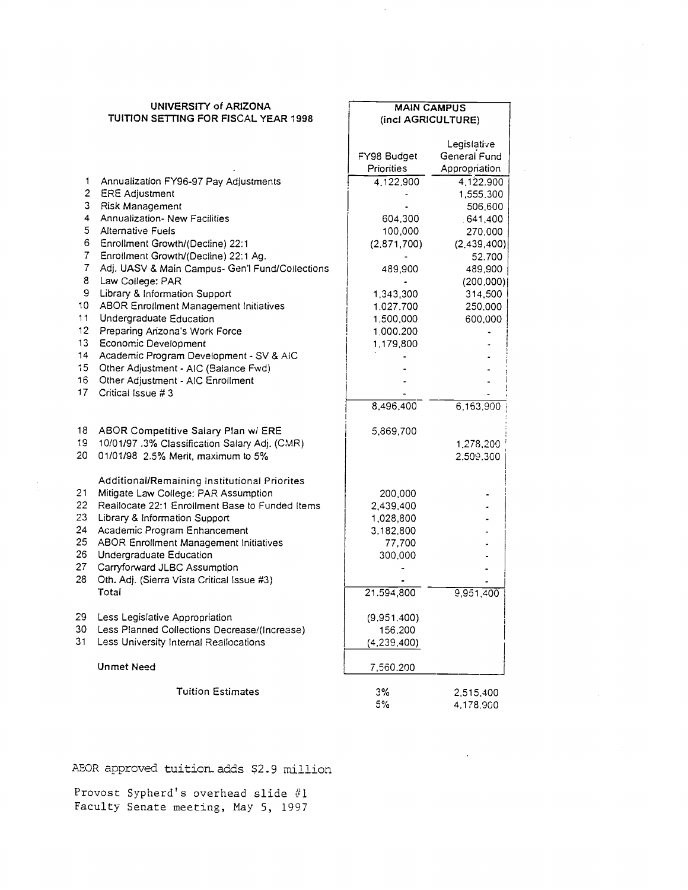|                 | UNIVERSITY of ARIZONA                           |               | <b>MAIN CAMPUS</b> |  |  |
|-----------------|-------------------------------------------------|---------------|--------------------|--|--|
|                 | TUITION SETTING FOR FISCAL YEAR 1998            |               | (incl AGRICULTURE) |  |  |
|                 |                                                 |               |                    |  |  |
|                 |                                                 |               | Legislative        |  |  |
|                 |                                                 | FY98 Budget   | General Fund       |  |  |
|                 |                                                 | Priorities    | Appropriation      |  |  |
| 1               | Annualization FY96-97 Pay Adjustments           | 4.122.900     | 4.122.900          |  |  |
| $\overline{2}$  | <b>ERE Adjustment</b>                           |               | 1,555,300          |  |  |
| 3               | Risk Management                                 |               | 506,600            |  |  |
| $\overline{4}$  | Annualization- New Facilities                   | 604,300       | .641,400           |  |  |
| 5               | <b>Alternative Fuels</b>                        | 100,000       | 270,000            |  |  |
| 6               | Enrollment Growth/(Decline) 22:1                | (2.871, 700)  | (2,439,400)        |  |  |
| 7               | Enrollment Growth/(Decline) 22:1 Ag.            |               | 52.700             |  |  |
| 7               | Adj. UASV & Main Campus- Gen'l Fund/Collections | 489,900       | 489,900            |  |  |
| 8               | Law College: PAR                                |               | (200.000)          |  |  |
| 9               | Library & Information Support                   | 1,343,300     | 314,500            |  |  |
| 10              | ABOR Enrollment Management Initiatives          | 1.027.700     | 250,000            |  |  |
| 11              | Undergraduate Education                         | 1.500,000     | 600,000            |  |  |
| 12              | Preparing Anzona's Work Force                   | 1,000.200     |                    |  |  |
| 13              | Economic Development                            | 1,179,800     |                    |  |  |
| 14              | Academic Program Development - SV & AIC         |               |                    |  |  |
| 15 <sub>1</sub> | Other Adjustment - AIC (Balance Fwd)            |               |                    |  |  |
| 16              | Other Adjustment - AIC Enrollment               |               |                    |  |  |
| 17              | Critical Issue #3                               |               |                    |  |  |
|                 |                                                 | 8,496,400     | 6, 163, 900        |  |  |
| 18.             | ABOR Competitive Salary Plan w/ ERE             |               |                    |  |  |
| 19              | 10/01/97.3% Classification Salary Adj. (CMR)    | 5,869,700     |                    |  |  |
| 20.             | 01/01/98 2.5% Merit, maximum to 5%              |               | 1,278,200          |  |  |
|                 |                                                 |               | 2.509.300          |  |  |
|                 | Additional/Remaining Institutional Priorites    |               |                    |  |  |
| 21              | Mitigate Law College: PAR Assumption            |               |                    |  |  |
| 22              | Reallocate 22:1 Enrollment Base to Funded Items | 200,000       |                    |  |  |
| 23              | Library & Information Support                   | 2,439,400     |                    |  |  |
| 24              | Academic Program Enhancement                    | 1,028,800     |                    |  |  |
| 25              | <b>ABOR Enrollment Management Initiatives</b>   | 3,182,800     |                    |  |  |
| 26              | Undergraduate Education                         | 77,700        |                    |  |  |
| 27              | Carryforward JLBC Assumption                    | 300,000       |                    |  |  |
| 28              | Oth. Adj. (Sierra Vista Critical Issue #3)      |               |                    |  |  |
|                 | Total                                           | 21.594,800    |                    |  |  |
|                 |                                                 |               | 9.951.400          |  |  |
| 29              | Less Legislative Appropriation                  | (9.951.400)   |                    |  |  |
| 30              | Less Planned Collections Decrease/(Increase)    | 156,200       |                    |  |  |
| 31              | Less University Internal Reallocations          | (4, 239, 400) |                    |  |  |
|                 |                                                 |               |                    |  |  |
|                 | <b>Unmet Need</b>                               | 7,560.200     |                    |  |  |
|                 | <b>Tuition Estimates</b>                        | 3%            | 2,515,400          |  |  |
|                 |                                                 | 5%            | 4,178,900          |  |  |
|                 |                                                 |               |                    |  |  |

 $\bar{z}$ 

 $\blacksquare$ 

AEOR approved tuition adds \$2.9 million

Provost Sypherd's overhead slide #1 Faculty Senate meeting, May 5, 1997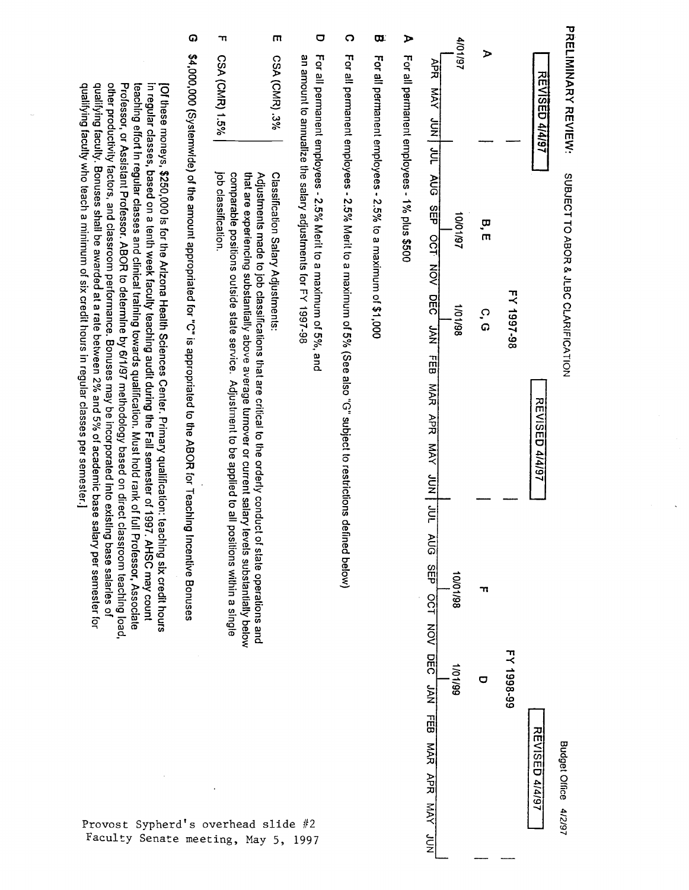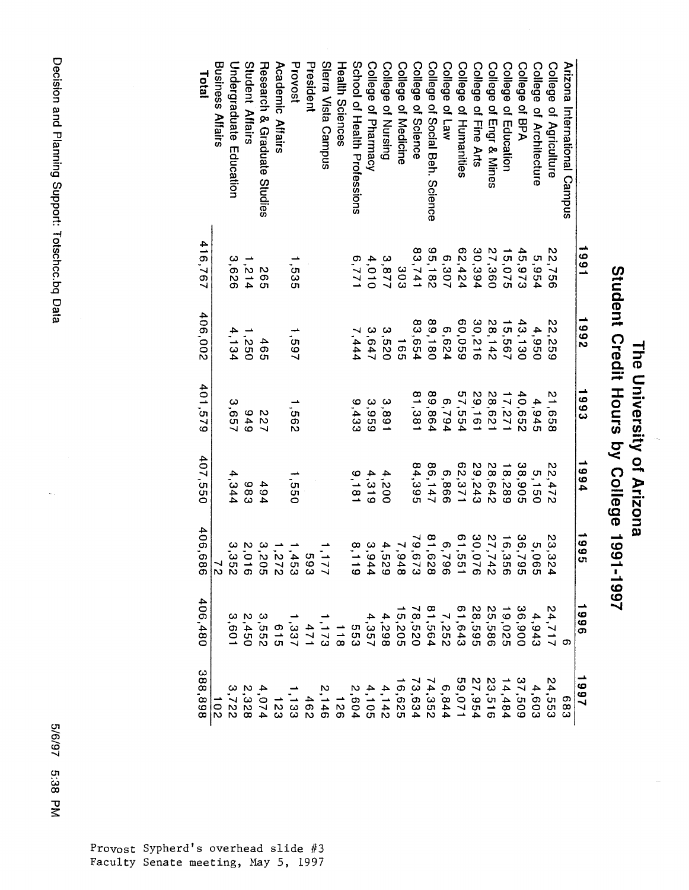| 661<br>3,9<br>4,5 | 81,6.<br>30,0<br>61,5<br>27,7<br>36,7<br>79,67<br>16,3<br>23,3<br>6,7<br>5,0<br>$\overline{7,9}$<br>ပာ<br>6280044<br>67<br>$\sigma$<br>$\mathbf{v}$<br>400<br>-<br>$\infty$<br>$\overline{6}$<br>28,5<br>36,9<br>25,5<br>N<br>ဖ<br>$\infty$<br>c<br>$\circ$<br>4,<br>4<br>$\overline{\overline{6}}$<br>ဖ<br>יָה<br>ייָ<br>ֿײַט<br>$\overline{\mathbf{v}}$<br>$\frac{1}{\mathbf{C}}$<br>G<br>5<br>8 9 4 5 5 6 7 6 9 7 8 7<br>6 7 9 7 9 7 8 9 7 8 7<br>$\rightarrow$<br>ග<br>άS<br>Ō0<br>$\rightarrow$<br>$\rightarrow$<br>ω<br>ග<br>$\overline{\phantom{0}}$ |
|-------------------|-------------------------------------------------------------------------------------------------------------------------------------------------------------------------------------------------------------------------------------------------------------------------------------------------------------------------------------------------------------------------------------------------------------------------------------------------------------------------------------------------------------------------------------------------------------|
|                   |                                                                                                                                                                                                                                                                                                                                                                                                                                                                                                                                                             |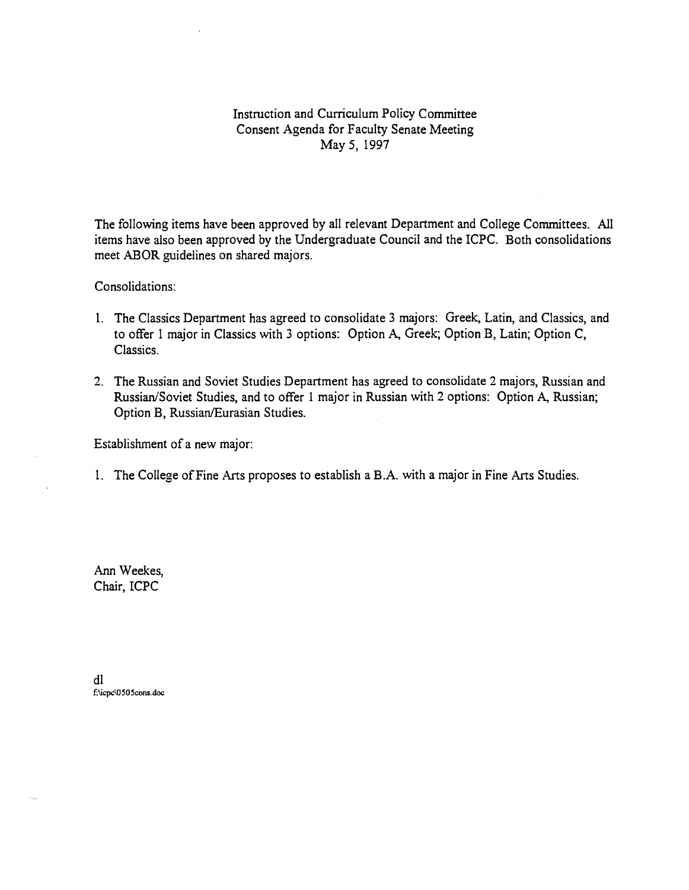Instruction and Curriculum Policy Committee Consent Agenda for Faculty Senate Meeting May 5, 1997

The following items have been approved by all relevant Department and College Committees. All items have also been approved by the Undergraduate Council and the ICPC. Both consolidations meet ABOR guidelines on shared majors.

Consolidations:

- 1. The Classics Department has agreed to consolidate 3 majors: Greek, Latin, and Classics, and to offer 1 major in Classics with 3 options: Option A, Greek; Option B, Latin; Option C, Classics.
- The Russian and Soviet Studies Department has agreed to consolidate 2 majors, Russian and Russian/Soviet Studies, and to offer i major in Russian with 2 options: Option A, Russian; Option B, Russian/Eurasian Studies.

Establishment of a new major:

1. The College of Fine Arts proposes to establish a B.A. with a major in Fine Arts Studies.

Ann Weekes, Chair, ICPC

dl f:\icpc\0505cons.doc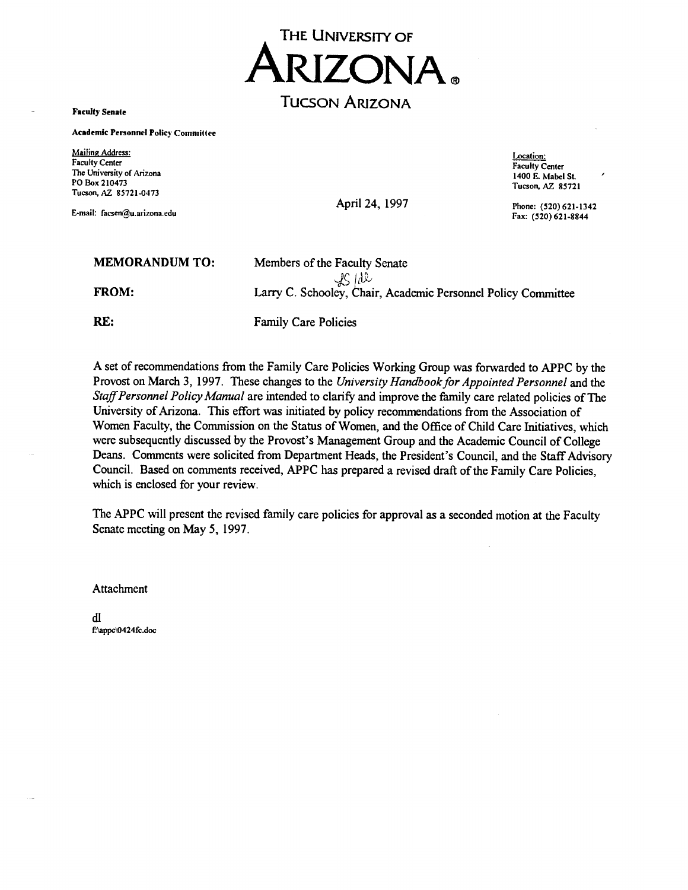

Faculty Senate

Academic Personnel Policy Commiltee

Mailing Address: Faculty Center The University of Arizona PO Box 210473 Tucson, AZ 85721-0473

E-mail: facsen@u.arizona.edu

April 24, 1997 Phone: (520) 621-1342

Location: Faculty Center 1400 E. Mabel St. Tucson, AZ 85721

Fax: (520) 621-8844

| <b>MEMORANDUM TO:</b> | Members of the Faculty Senate                                          |
|-----------------------|------------------------------------------------------------------------|
| <b>FROM:</b>          | 2S/dl<br>Larry C. Schooley, Chair, Academic Personnel Policy Committee |

RE: Family Care Policies

A set of recommendations from the Family Care Policies Working Group was forwarded to APPC by the Provost on March 3, 1997. These changes to the University Handbook for Appointed Personnel and the Staff Personnel Policy Manual are intended to clarify and improve the family care related policies of The University of Arizona. This effort was initiated by policy recommendations from the Association of Women Faculty, the Commission on the Status of Women, and the Office of Child Care Initiatives, which were subsequently discussed by the Provost's Management Group and the Academic Council of College Deans. Comments were solicited from Department Heads, the President's Council, and the Staff Advisory Council. Based on comments received, APPC has prepared a revised draft of the Family Care Policies, which is enclosed for your review.

The APPC will present the revised family care policies for approval as a seconded motion at the Faculty Senate meeting on May 5, 1997.

Attachment

dl f'appc'0424fc.doc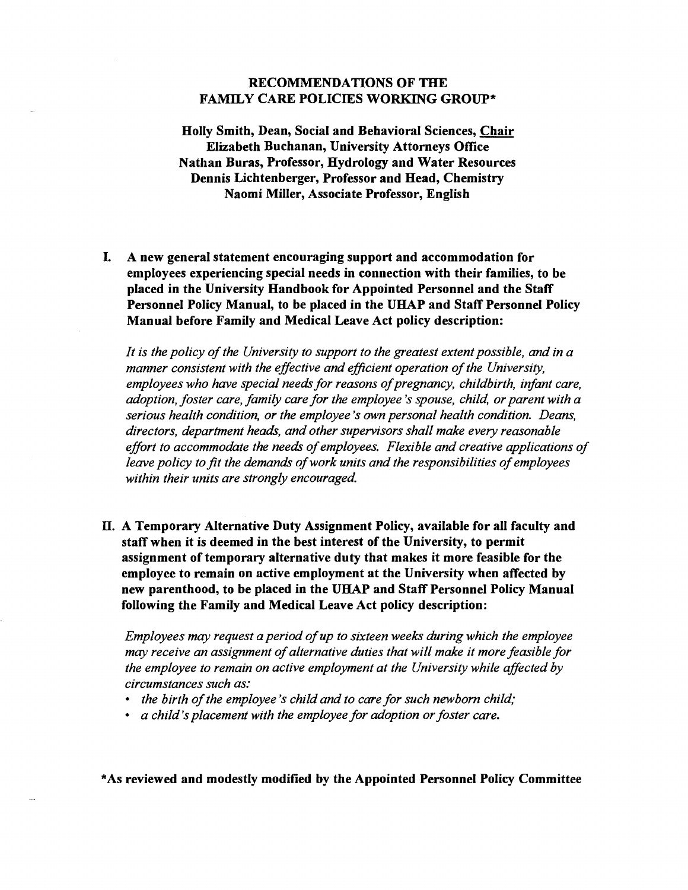## RECOMMENDATIONS OF THE FAMILY CARE POLICIES WORKING GROUP\*

Holly Smith, Dean, Social and Behavioral Sciences, Chair Elizabeth Buchanan, University Attorneys Office Nathan Buras, Professor, Hydrology and Water Resources Dennis Lichtenberger, Professor and Head, Chemistry Naomi Miller, Associate Professor, English

I. A new general statement encouraging support and accommodation for employees experiencing special needs in connection with their families, to be placed in the University Handbook for Appointed Personnel and the Staff Personnel Policy Manual, to be placed in the UHAP and Staff Personnel Policy Manual before Family and Medical Leave Act policy description:

It is the policy of the University to support to the greatest extent possible, and in a manner consistent with the effective and efficient operation of the University, employees who have special needs for reasons of pregnancy, childbirth, infant care, adoption, foster care, family care for the employee 's spouse, child, or parent with a serious health condition, or the employee 's own personal health condition. Deans, directors, department heads, and other supervisors shall make every reasonable effort to accommodate the needs of employees. Flexible and creative applications of leave policy to fit the demands of work units and the responsibilities of employees within their units are strongly encouraged.

H. A Temporary Alternative Duty Assignment Policy, available for all faculty and staff when it is deemed in the best interest of the University, to permit assignment of temporary alternative duty that makes it more feasible for the employee to remain on active employment at the University when affected by new parenthood, to be placed in the UHAP and Staff Personnel Policy Manual following the Family and Medical Leave Act policy description:

Employees may request a period of up to sixteen weeks during which the employee may receive an assignment of alternative duties that will make it more feasible for the employee to remain on active employment at the University while affected by circumstances such as:

- the birth of the employee 's child and to care for such newborn child;
- a child's placement with the employee for adoption or foster care.

\*As reviewed and modestly modified by the Appointed Personnel Policy Committee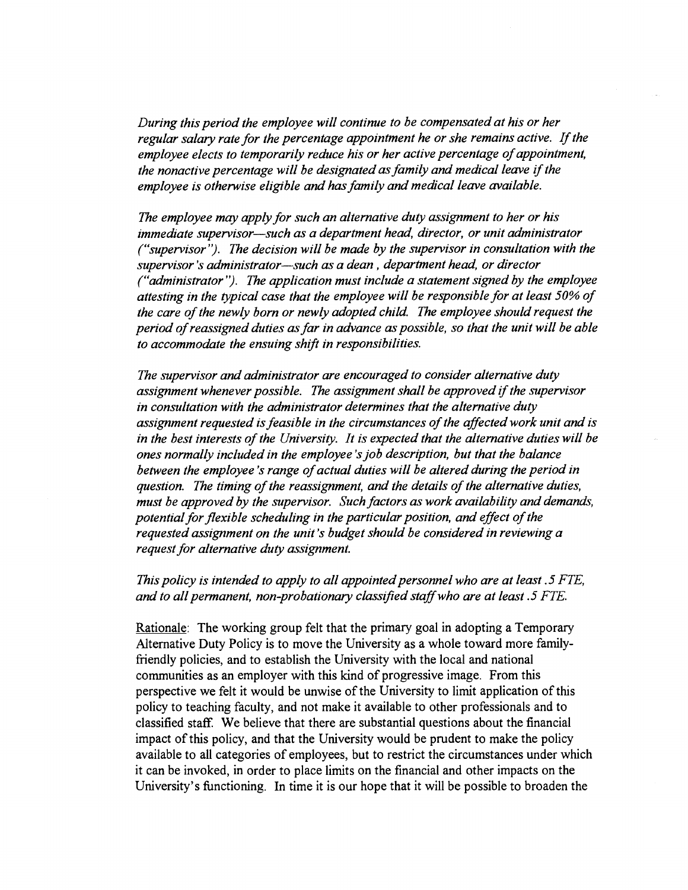During this period the employee will continue to be compensated at his or her regular salary rate for the percentage appointment he or she remains active. If the employee elects to temporarily reduce his or her active percentage of appointment, the nonactive percentage will be designated as family and medical leave if the employee is otherwise eligible and has family and medical leave available.

The employee may apply for such an alternative duty assignment to her or his immediate supervisor—such as a department head, director, or unit administrator ("supervisor"). The decision will be made by the supervisor in consultation with the supervisor's administrator-such as a dean, department head, or director ("administrator"). The application must include a statement signed by the employee attesting in the typical case that the employee will be responsible for at least 50% of the care of the newly born or newly adopted child. The employee should request the period of reassigned duties as far in advance as possible, so that the unit will be able to accommodate the ensuing shift in responsibilities.

The supervisor and administrator are encouraged to consider alternative duty assignment whenever possible. The assignment shall be approved if the supervisor in consultation with the administrator determines that the alternative duty assignment requested is feasible in the circumstances of the affected work unit and is in the best interests of the University. It is expected that the alternative duties will be ones normally included in the employee 's job description, but that the balance between the employee 's range of actual duties will be altered during the period in question. The timing of the reassignment, and the details of the alternative duties, must be approved by the supervisor. Such factors as work availability and demands, potential for flexible scheduling in the particular position, and effect of the requested assignment on the unit 's budget should be considered in reviewing a request for alternative duty assignment.

This policy is intended to apply to all appointed personnel who are at least .5 FTE, and to all permanent, non-probationary classified staff who are at least  $.5$  FTE.

Rationale: The working group felt that the primary goal in adopting a Temporary Alternative Duty Policy is to move the University as a whole toward more familyfriendly policies, and to establish the University with the local and national communities as an employer with this kind of progressive image. From this perspective we felt it would be unwise of the University to limit application of this policy to teaching faculty, and not make it available to other professionals and to classified staff. We believe that there are substantial questions about the financial impact of this policy, and that the University would be prudent to make the policy available to all categories of employees, but to restrict the circumstances under which it can be invoked, in order to place limits on the financial and other impacts on the University's functioning. In time it is our hope that it will be possible to broaden the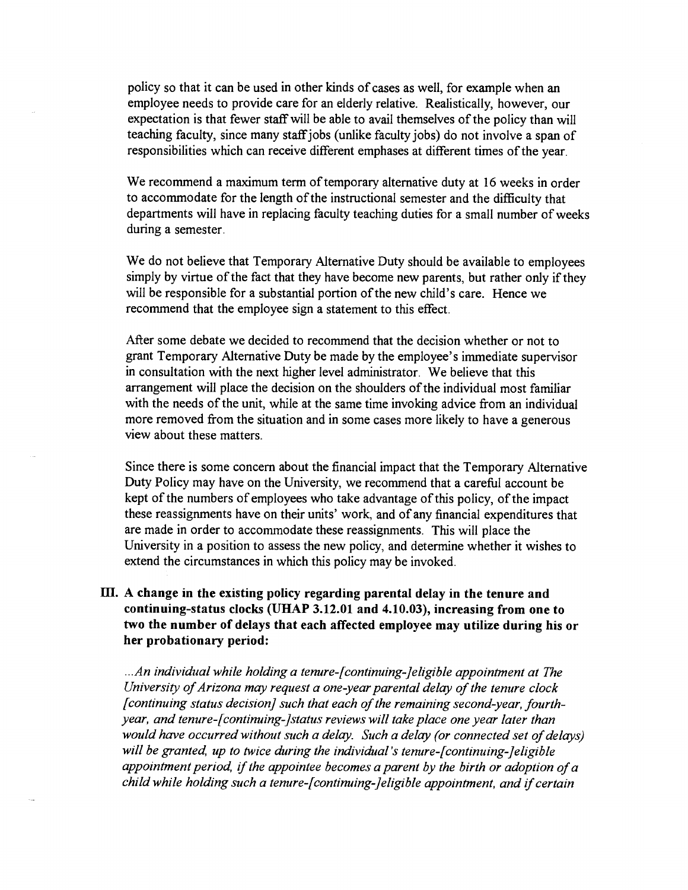policy so that it can be used in other kinds of cases as well, for example when an employee needs to provide care for an elderly relative. Realistically, however, our expectation is that fewer staff will be able to avail themselves of the policy than will teaching faculty, since many staffjobs (unlike faculty jobs) do not involve a span of responsibilities which can receive different emphases at different times of the year.

We recommend a maximum term of temporary alternative duty at 16 weeks in order to accommodate for the length of the instructional semester and the difficulty that departments will have in replacing faculty teaching duties for a small number of weeks during a semester.

We do not believe that Temporary Alternative Duty should be available to employees simply by virtue of the fact that they have become new parents, but rather only if they will be responsible for a substantial portion of the new child's care. Hence we recommend that the employee sign a statement to this effect.

After some debate we decided to recommend that the decision whether or not to grant Temporary Alternative Duty be made by the employee's immediate supervisor in consultation with the next higher level administrator. We believe that this arrangement will place the decision on the shoulders of the individual most familiar with the needs of the unit, while at the same time invoking advice from an individual more removed from the situation and in some cases more likely to have a generous view about these matters.

Since there is some concern about the financial impact that the Temporary Alternative Duty Policy may have on the University, we recommend that a carefùl account be kept of the numbers of employees who take advantage of this policy, of the impact these reassignments have on their units' work, and of any financial expenditures that are made in order to accommodate these reassignments. This will place the University in a position to assess the new policy, and determine whether it wishes to extend the circumstances in which this policy may be invoked.

## III. A change in the existing policy regarding parental delay in the tenure and continuing-status clocks (UHAP 3.12.01 and 4.10.03), increasing from one to two the number of delays that each affected employee may utilize during his or her probationary period:

.An individual while holding a tenure-[continuing-Jeligible appointment at The University of Arizona may request a one-year parental delay of the tenure clock [continuing status decision] such that each of the remaining second-year, fourthyear, and tenure-[continuing-]status reviews will take place one year later than would have occurred without such a delay. Such a delay (or connected set of delays) will be granted, up to twice during the individual's tenure-[continuing-]eligible appointment period, if the appointee becomes a parent by the birth or adoption of a child while holding such a tenure-[continuing-]eligible appointment, and if certain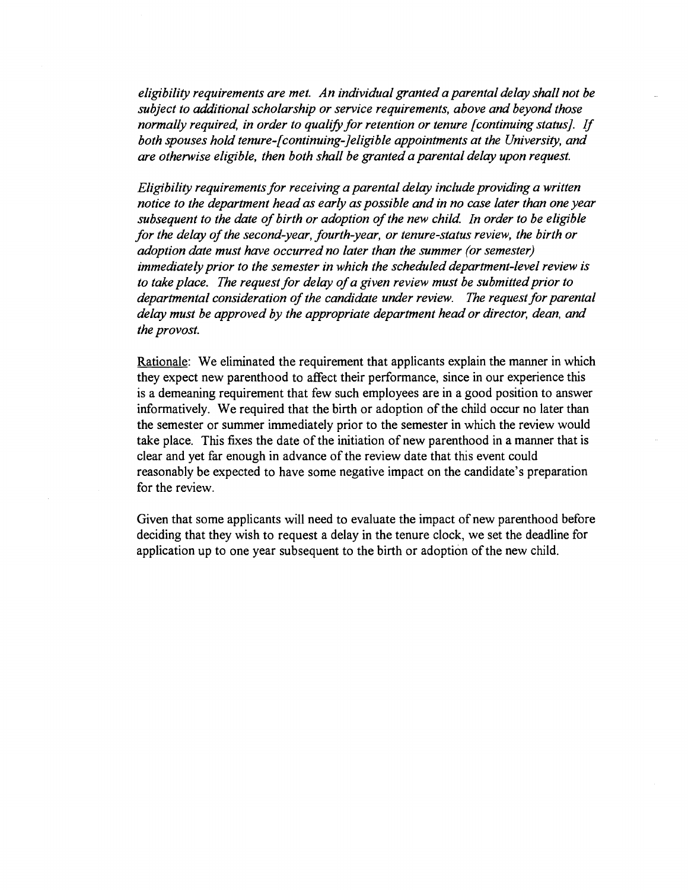eligibility requirements are met. An individual granted a parental delay shall not be subject to additional scholarship or service requirements, above and beyond those normally required, in order to qualify for retention or tenure [continuing status]. If both spouses hold tenure-[continuing-]eligible appointments at the University, and are otherwise eligible, then both shall be granted a parental delay upon request.

Eligibility requirements for receiving a parental delay include providing a written notice to the department head as early as possible and in no case later than one year subsequent to the date of birth or adoption of the new child. In order to be eligible for the delay of the second-year, fourth-year, or tenure-status review, the birth or adoption date must have occurred no later than the summer (or semester) immediately prior to the semester in which the scheduled department-level review is to take place. The request for delay of a given review must be submitted prior to departmental consideration of the candidate under review. The request for parental delay must be approved by the appropriate department head or director, dean, and the provost.

Rationale: We eliminated the requirement that applicants explain the manner in which they expect new parenthood to affect their performance, since in our experience this is a demeaning requirement that few such employees are in a good position to answer informatively. We required that the birth or adoption of the child occur no later than the semester or summer immediately prior to the semester in which the review would take place. This fixes the date of the initiation of new parenthood in a manner that is clear and yet far enough in advance of the review date that this event could reasonably be expected to have some negative impact on the candidate's preparation for the review.

Given that some applicants will need to evaluate the impact of new parenthood before deciding that they wish to request a delay in the tenure clock, we set the deadline for application up to one year subsequent to the birth or adoption of the new child.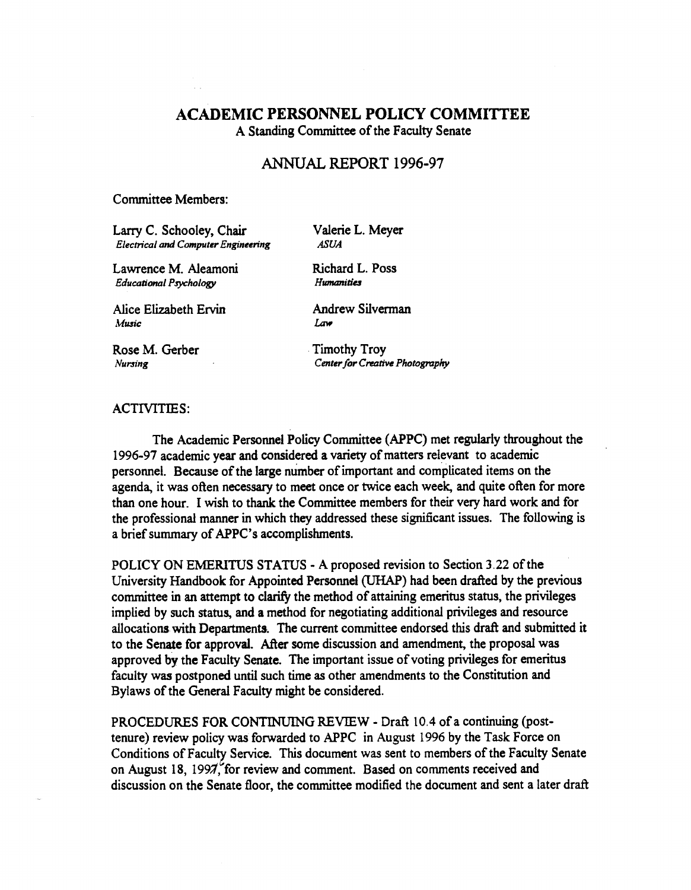## ACADEMIC PERSONNEL POLICY COMMITTEE

A Standing Committee of the Faculty Senate

## ANNUAL REPORT 1996-97

## Committee Members:

Larry C. Schooley, Chair Electrical and Computer Engineering Valerie L. Meyer ASUA

Richard L. Poss Humanities

Lawrence M. Aleamoni Educational Psychology

Alice Elizabeth Ervin Music

Andrew Silverman

Law

Rose M. Gerber Nursing

Timothy Troy Center for Creative Photography

## ACTIVITIES:

The Academic Personnel Policy Committee (APPC) met regularly throughout the 1996-97 academic year and considered a variety of matters relevant to academic personnel. Because of the large number of important and complicated items on the agenda, it was often necessary to meet once or twice each week, and quite often for more than one hour. I wish to thank the Committee members for their very hard work and for the professional manner in which they addressed these significant issues. The following is a brief summary of APPC's accomplishments.

POLICY ON EMERITUS STATUS - A proposed revision to Section 3.22 of the University Handbook for Appointed Personnel (UHAP) had been drafted by the previous committee in an attempt to clarify the method of attaining emeritus status, the privileges implied by such status, and a method for negotiating additional privileges and resource allocations with Departments. The current committee endorsed this draft and submitted it to the Senate for approval. After some discussion and amendment, the proposal was approved by the Faculty Senate. The important issue of voting privileges for emeritus faculty was postponed until such time as other amendments to the Constitution and Bylaws of the General Faculty might be considered.

PROCEDURES FOR CONTINUING REVIEW - Draft 10.4 of a continuing (posttenure) review policy was forwarded to APPC in August 1996 by the Task Force on Conditions of Faculty Service. This document was sent to members of the Faculty Senate on August 18, 1997, for review and comment. Based on comments received and discussion on the Senate floor, the committee modified the document and sent a later draft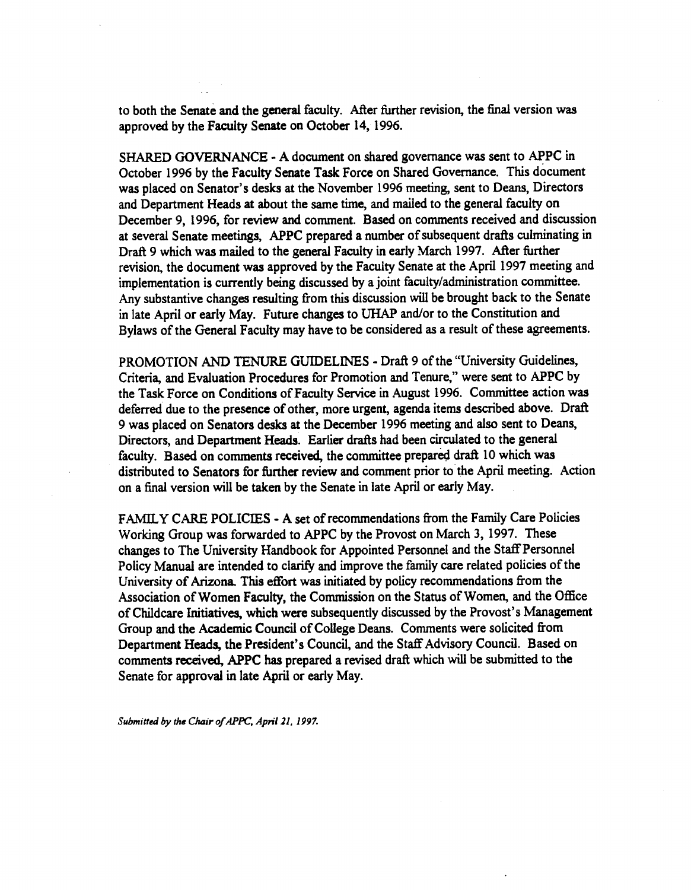to both the Senate and the general faculty. After further revision, the final version was approved by the Faculty Senate on October 14, 1996.

SHARED GOVERNANCE - A document on shared governance was sent to APPC in October 1996 by the Faculty Senate Task Force on Shared Governance. This document was placed on Senator's desks at the November 1996 meeting, sent to Deans, Directors and Department Heads at about the same time, and mailed to the general faculty on December 9, 1996, for review and comment. Based on comments received and discussion at several Senate meetings, APPC prepared a number of subsequent drafts culminating in Draft 9 which was mailed to the general Faculty in early March 1997. After further revision, the document was approved by the Faculty Senate at the April 1997 meeting and implementation is currently being discussed by a joint faculty/administration committee. Any substantive changes resulting from this discussion will be brought back to the Senate in late April or early May. Future changes to UHAP and/or to the Constitution and Bylaws of the General Faculty may have to be considered as a result of these agreements.

PROMOTION AND TENURE GUIDELINES - Draft 9 of the "University Guidelines, Criteria, and Evaluation Procedures for Promotion and Tenure," were sent to APPC by the Task Force on Conditions of Faculty Service in August 1996. Committee action was deferred due to the presence of other, more urgent, agenda items described above. Draft 9 was placed on Senators desks at the December 1996 meeting and also sent to Deans, Directors, and Department Heads. Earlier drafts had been circulated to the general faculty. Based on comments received, the committee prepared draft 10 which was distributed to Senators for further review and comment prior to the April meeting. Action on a final version will be taken by the Senate in late April or early May.

FAMILY CARE POLICIES - A set of recommendations from the Family Care Policies Working Group was forwarded to APPC by the Provost on March 3, 1997. These changes to The University Handbook for Appointed Personnel and the Staff Personnel Policy Manual are intended to clarify and improve the family care related policies of the University of Arizona. This effort was initiated by policy recommendations from the Association of Women Faculty, the Commission on the Status of Women, and the Office of Childcare Initiatives, which were subsequently discussed by the Provost's Management Group and the Academic Council of College Deans. Comments were solicited from Department Heads, the President's Council, and the Staff Advisory Council. Based on comments received, APPC has prepared a revised draft which will be submitted to the Senate for approval in late April or early May.

Submitted by the Chair of APPC, April 21, 1997.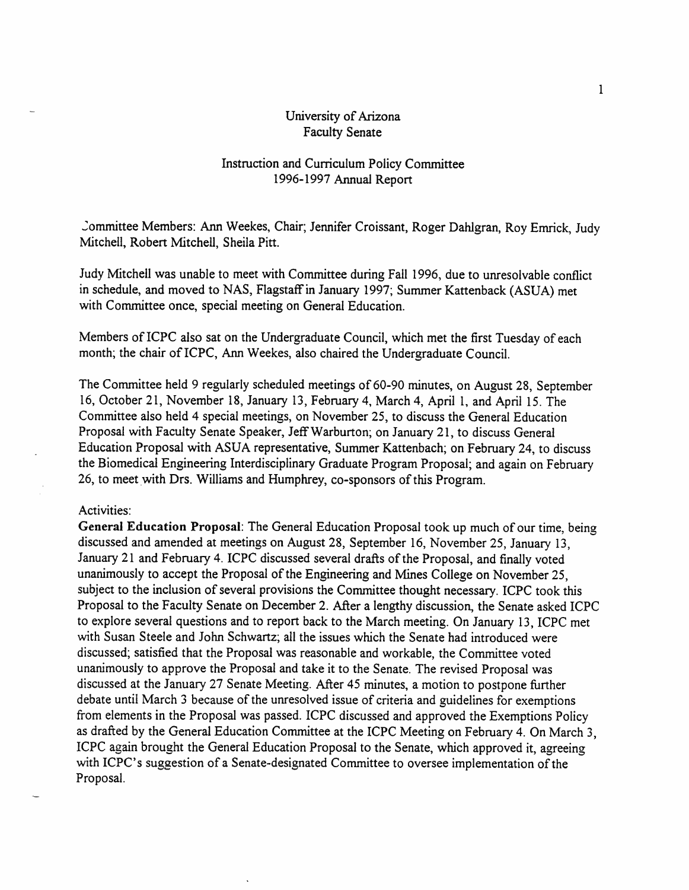## University of Arizona Faculty Senate

## Instruction and Curriculum Policy Committee 1996-1997 Annual Report

committee Members: Ann Weekes, Chair; Jennifer Croissant, Roger Dahigran, Roy Emrick, Judy Mitchell, Robert Mitchell, Sheila Pitt.

Judy Mitchell was unable to meet with Committee during Fall 1996, due to unresolvable conflict in schedule, and moved to NAS, Flagstaff in January 1997; Summer Kattenback (ASUA) met with Committee once, special meeting on General Education.

Members of ICPC also sat on the Undergraduate Council, which met the first Tuesday of each month; the chair of ICPC, Ann Weekes, also chaired the Undergraduate Council.

The Committee held 9 regularly scheduled meetings of 60-90 minutes, on August 28, September 16, October 21, November 18, January 13, February 4, March 4, April 1, and April 15. The Committee also held 4 special meetings, on November 25, to discuss the General Education Proposal with Faculty Senate Speaker, Jeff Warburton; on January 21, to discuss General Education Proposal with ASUA representative, Summer Kattenbach; on February 24, to discuss the Biomedical Engineering Interdisciplinary Graduate Program Proposal; and again on February 26, to meet with Drs. Williams and Humphrey, co-sponsors ofthis Program.

## Activities:

General Education Proposal: The General Education Proposal took up much of our time, being discussed and amended at meetings on August 28, September 16, November 25, January 13, January 21 and February 4. ICPC discussed several drafts of the Proposal, and finally voted unanimously to accept the Proposal of the Engineering and Mines College on November 25, subject to the inclusion of several provisions the Committee thought necessary. ICPC took this Proposal to the Faculty Senate on December 2. After a lengthy discussion, the Senate asked ICPC to explore several questions and to report back to the March meeting. On January 13, ICPC met with Susan Steele and John Schwartz; all the issues which the Senate had introduced were discussed; satisfied that the Proposal was reasonable and workable, the Committee voted unanimously to approve the Proposal and take it to the Senate. The revised Proposal was discussed at the January 27 Senate Meeting. After 45 minutes, a motion to postpone further debate until March 3 because of the unresolved issue of criteria and guidelines for exemptions from elements in the Proposal was passed. ICPC discussed and approved the Exemptions Policy as drafted by the General Education Committee at the ICPC Meeting on February 4. On March 3, ICPC again brought the General Education Proposal to the Senate, which approved it, agreeing with ICPC's suggestion of a Senate-designated Committee to oversee implementation of the Proposal.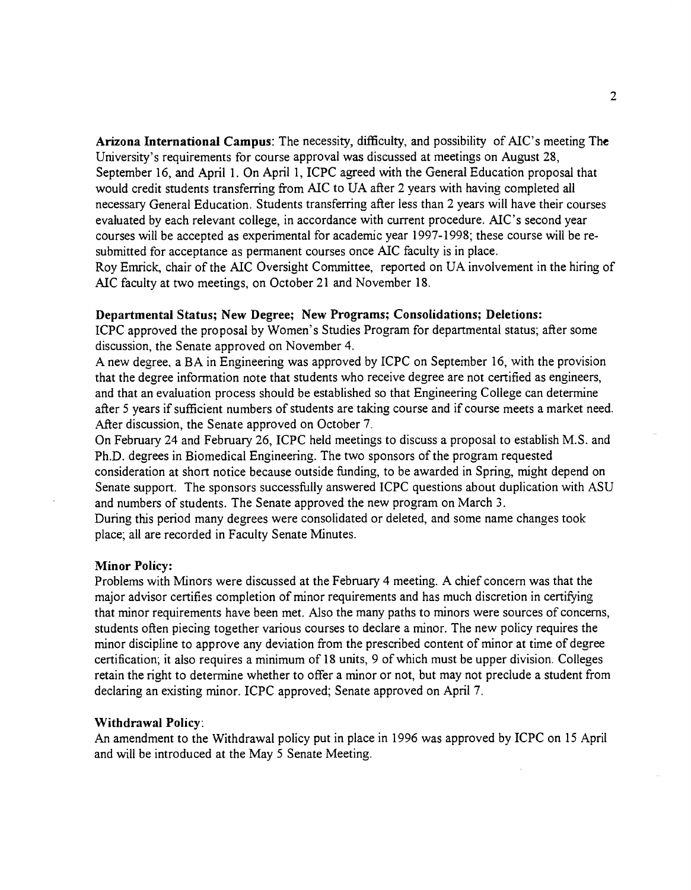Arizona International Campus: The necessity, difficulty, and possibility of AIC's meeting The University's requirements for course approval was discussed at meetings on August 28, September 16, and April 1. On April 1, ICPC agreed with the General Education proposal that would credit students transferring from MC to UA after 2 years with having completed all necessary General Education. Students transferring after less than 2 years will have their courses evaluated by each relevant college, in accordance with current procedure. AJC's second year courses will be accepted as experimental for academic year 1997-1998; these course will be resubmitted for acceptance as permanent courses once MC faculty is in place.

Roy Emrick, chair of the MC Oversight Committee, reported on UA involvement in the hiring of MC faculty at two meetings, on October 21 and November 18.

## Departmental Status; New Degree; New Programs; Consolidations; Deletions:

ICPC approved the proposal by Women's Studies Program for departmental status; after some discussion, the Senate approved on November 4.

A new degree, a BA in Engineering was approved by JCPC on September 16, with the provision that the degree information note that students who receive degree are not certified as engineers, and that an evaluation process should be established so that Engineering College can determine after <sup>5</sup> years if sufficient numbers of students are taking course and if course meets a market need. After discussion, the Senate approved on October 7.

On February 24 and February 26, ICPC held meetings to discuss a proposal to establish M.S. and Ph.D. degrees in Biomedical Engineering. The two sponsors of the program requested consideration at short notice because outside funding, to be awarded in Spring, might depend on Senate support. The sponsors successfully answered ICPC questions about duplication with ASU and numbers of students. The Senate approved the new program on March 3.

During this period many degrees were consolidated or deleted, and some name changes took place; all are recorded in Faculty Senate Minutes.

## Minor Policy:

Problems with Minors were discussed at the February 4 meeting. A chief concern was that the major advisor certifies completion of minor requirements and has much discretion in certifying that minor requirements have been met. Also the many paths to minors were sources of concerns, students often piecing together various courses to declare a minor. The new policy requires the minor discipline to approve any deviation from the prescribed content of minor at time of degree certification; it also requires a minimum of 18 units, 9 of which must be upper division. Colleges retain the right to determine whether to offer a minor or not, but may not preclude a student from declaring an existing minor. ICPC approved; Senate approved on April 7.

## Withdrawal Policy:

An amendment to the Withdrawal policy put in place in 1996 was approved by ICPC on 15 April and will be introduced at the May <sup>5</sup> Senate Meeting.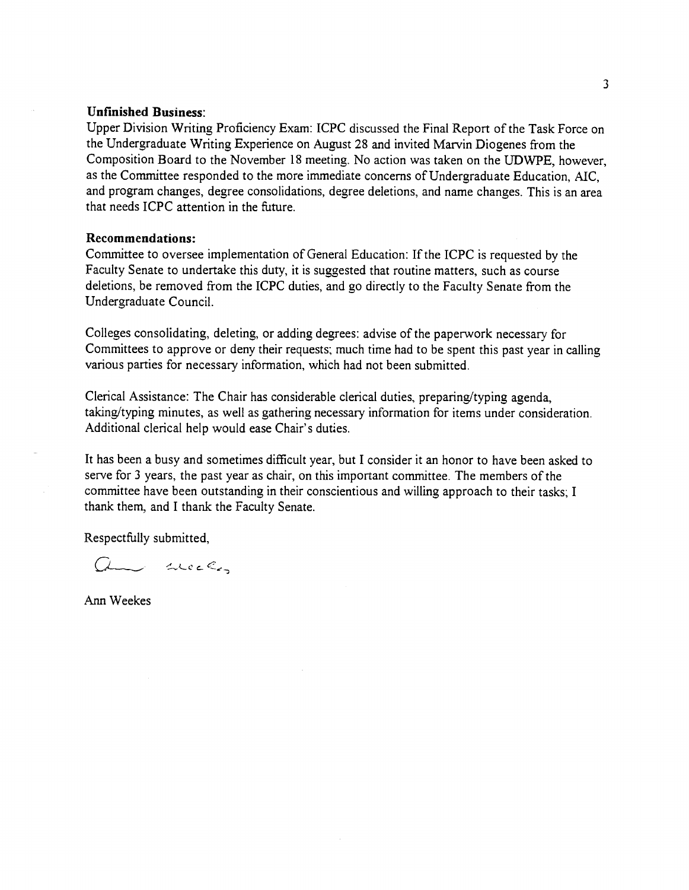## Unfinished Business:

Upper Division Writing Proficiency Exam: ICPC discussed the Final Report of the Task Force on the Undergraduate Writing Experience on August 28 and invited Marvin Diogenes from the Composition Board to the November 18 meeting. No action was taken on the UDWPE, however, as the Committee responded to the more immediate concerns of Undergraduate Education, AIC, and program changes, degree consolidations, degree deletions, and name changes. This is an area that needs ICPC attention in the fùture.

## Recommendations:

Committee to oversee implementation of General Education: If the ICPC is requested by the Faculty Senate to undertake this duty, it is suggested that routine matters, such as course deletions, be removed from the ICPC duties, and go directly to the Faculty Senate from the Undergraduate Council.

Colleges consolidating, deleting, or adding degrees: advise of the paperwork necessary for Committees to approve or deny their requests; much time had to be spent this past year in calling various parties for necessary information, which had not been submitted.

Clerical Assistance: The Chair has considerable clerical duties, preparing/typing agenda, taking/typing minutes, as well as gathering necessary information for items under consideration. Additional clerical help would ease Chair's duties.

It has been a busy and sometimes difficult year, but I consider it an honor to have been asked to serve for 3 years, the past year as chair, on this important committee. The members of the committee have been outstanding in their conscientious and willing approach to their tasks; I thank them, and I thank the Faculty Senate.

Respectfully submitted,

am weeks

Ann Weekes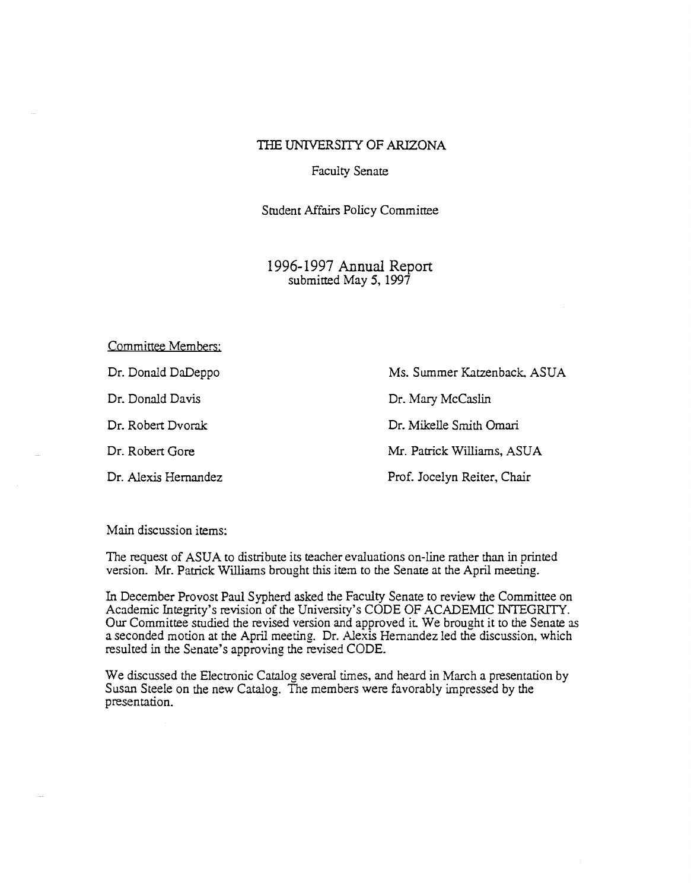## THE UNIVERSITY OF ARIZONA

Faculty Senate

Student Affairs Policy Committee

1996-1997 Annual Report submitted May 5, 1997

Committee Members: Dr. Donald DaDeppo Ms. Summer Katzenback, ASUA Dr. Donald Davis Dr. Mary McCaslin Dr. Robert Dvorak Dr. Mikelle Smith Omari Dr. Robert Gore Mr. Patrick Williams, ASUA Dr. Alexis Hernandez Prof. Jocelyn Reiter, Chair

Main discussion items:

The request of ASUA to distribute its teacher evaluations on-line rather than in printed version. Mr. Patrick Williams brought this item to the Senate at the April meeting.

In December Provost Paul Sypherd asked the Faculty Senate to review the Committee on Academic Integrity's revision of the University's CODE OF ACADEMIC INTEGRITY. Our Committee studied the revised version arid approved it. We brought it to the Senate as a seconded motion at the April meeting. Dr. Alexis Hernandez led the discussion, which resulted in the Senate's approving the revised CODE.

We discussed the Electronic Catalog several times, and heard in March a presentation by Susan Steele on the new Catalog. The members were favorably impressed by the presentation.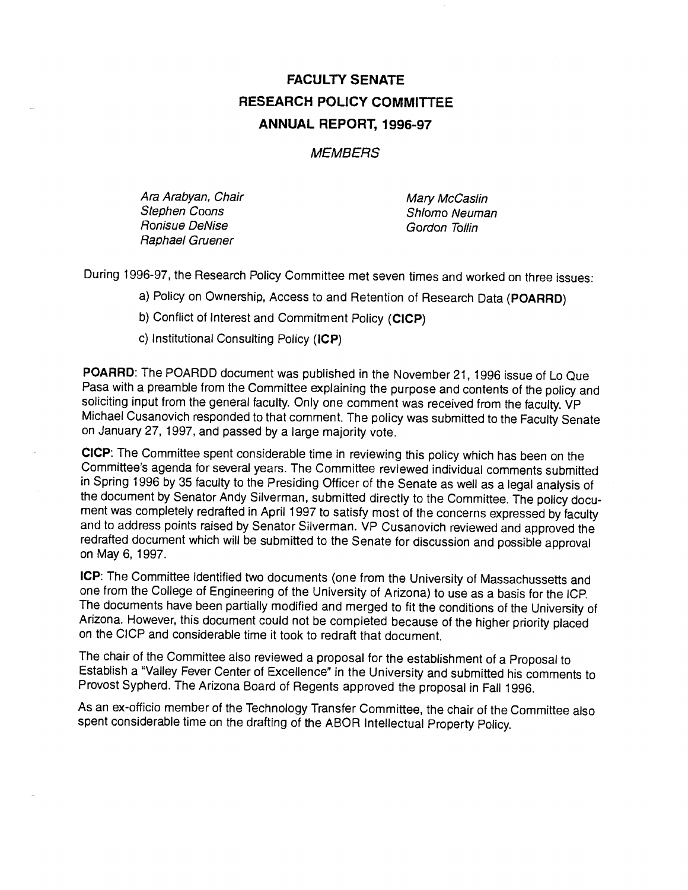# FACULTY SENATE RESEARCH POLICY COMMITTEE ANNUAL REPORT, 1996-97

## **MEMBERS**

Ara Arabyan, Chair Nandor (Mary McCaslin Mary McCaslin<br>Stephen Coons Ronisue DeNise Gordon Tollin Raphael Gruener

Shlomo Neuman

During 1996-97, the Research Policy Committee met seven times and worked on three issues:

Policy on Ownership, Access to and Retention of Research Data (POARRD)

b) Conflict of Interest and Commitment Policy (CICP)

c) Institutional Consulting Policy (ICP)

POARRD: The POARDD document was published in the November 21, 1996 issue of Lo Que Pasa with a preamble from the Committee explaining the purpose and contents of the policy and soliciting input from the general faculty. Only one comment was received from the faculty. VP Michael Cusanovich responded to that comment. The policy was submitted to the Faculty Senate on January 27, 1997, and passed by a large majority vote.

CICP: The Committee spent considerable time in reviewing this policy which has been on the Committee's agenda for several years. The Committee reviewed individual comments submitted in Spring 1996 by 35 faculty to the Presiding Officer of the Senate as well as a legal analysis of the document by Senator Andy Silverman, submitted directly to the Committee. The policy document was completely redrafted in April 1997 to satisfy most of the concerns expressed by faculty and to address points raised by Senator Silverman. VP Cusanovich reviewed and approved the redrafted document which will be submitted to the Senate for discussion and possible approval on May 6, 1997.

ICP: The Committee identified two documents (one from the University of Massachussetts and one from the College of Engineering of the University of Arizona) to use as a basis for the ICP. The documents have been partially modified and merged to fit the conditions of the University of Arizona. However, this document could not be completed because of the higher priority placed on the CICP and considerable time it took to redraft that document.

The chair of the Committee also reviewed a proposal for the establishment of a Proposal to Establish a "Valley Fever Center of Excellence" in the University and submitted his comments to Provost Sypherd. The Arizona Board of Regents approved the proposal in Fall 1996.

As an ex-ofticio member of the Technology Transfer Committee, the chair of the Committee also spent considerable time on the drafting of the ABOR Intellectual Property Policy.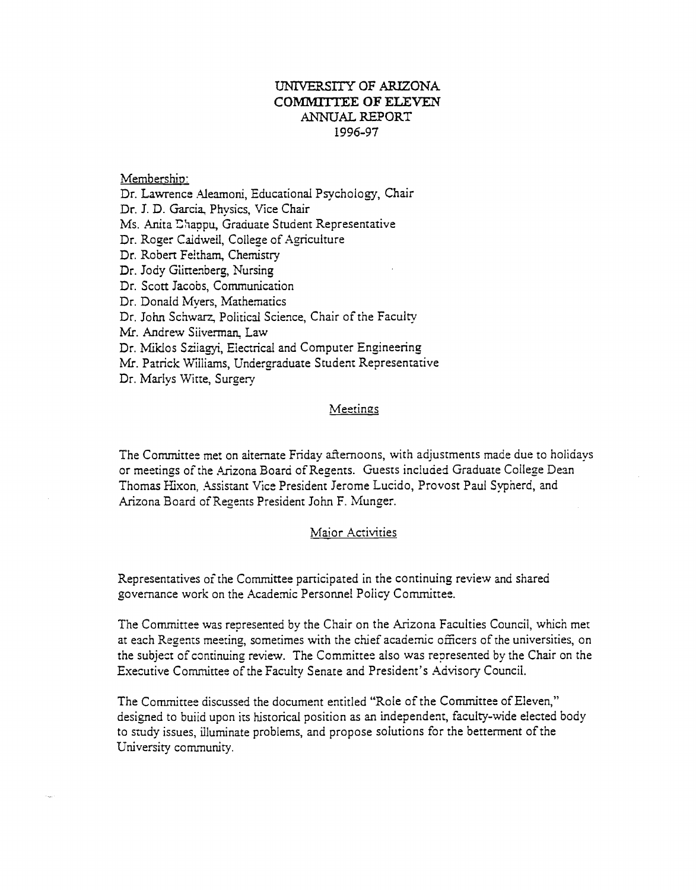## UNIVERSITY OF ARIZONA COMMITTEE OF ELEVEN ANNUAL REPORT 1996-97

## Membershin:

Dr. Lawrence Aleamoni, Educational Psychology. Chair Dr. J. D. Garcia, Physics, Vice Chair Ms. Anita Ehappu, Graduate Student Representative Dr. Roger Caidweil, College of Agriculture Dr. Robert Feltham, Chemistry Dr. Jody Giittenberg, Nursing Dr. Scott Jacobs, Communication Dr. Donald Myers, Mathematics Dr. John Schwarz, Political Science, Chair of the Faculty Mr. Andrew Silverman. Law Dr. Miklos Sziiagyi, Electrical and Computer Engineering Mr. Patrick Williams, Undergraduate Student Representative Dr. Marlys Witte, Surgery

## Meetings

The Committee met on alternate Friday afternoons, with adjustments made due to holidays or meetings of the Arizona Board of Regents. Guests included Graduate College Dean Thomas Hixon, Assistant Vice President Jerome Lucido, Provost Paul Sypherd, and Arizona Board of Regents President John F. Munger.

## Maior Activities

Representatives of the Committee participated in the continuing review and shared governance work on the Academic Personnel Policy Committee.

The Committee was represented by the Chair on the Arizona Faculties Council, which met at each Regents meeting, sometimes with the chief academic offlcers of the universities, on the subject of continuing review. The Committee also was represented by the Chair on the Executive Committee of the Faculty Senate and President's Advisory Council.

The Committee discussed the document entitled "Role of the Committee of Eleven," designed to build upon its historical position as an independent, faculty-wide elected body to study issues, illuminate problems, and propose solutions for the betterment of the University community.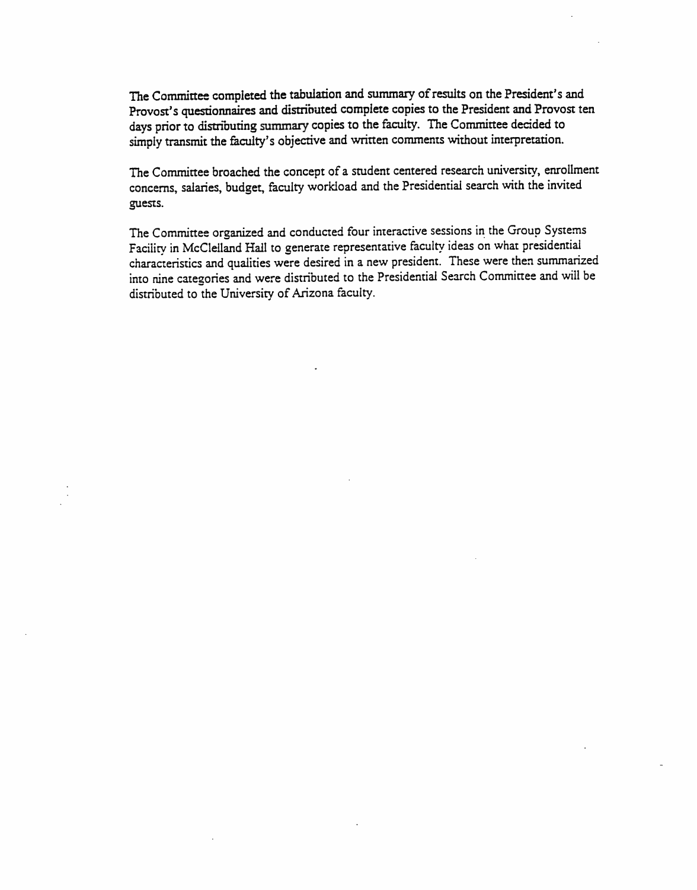The Committee completed the tabulation and summary of results on the President's and Provost's questionnaires and distributed complete copies to the President and Provost ten days prior to distributing summary copies to the faculty. The Committee decided to simply transmit the faculty's objective and written comments without interpretation.

The Committee broached the concept of a student centered research university, enrollment concerns, salaries, budget, faculty workload and the Presidential search with the invited guests.

The Committee organized and conducted four interactive sessions ín the Group Systems Facility in McCleIIand Hall to generate representative faculty ideas on what presidential characteristics and qualities were desired in a new president. These were then summarized into nine cate2ories and were distributed to the Presidential Search Committee and will be distributed to the University of Arizona faculty.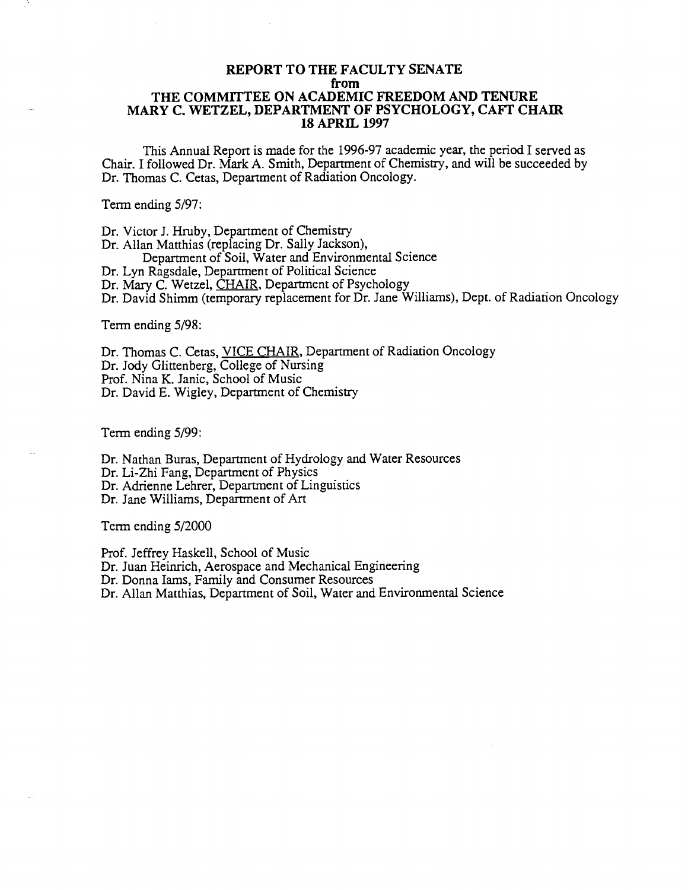## REPORT TO THE FACULTY SENATE from THE COMMITTEE ON ACADEMIC FREEDOM AND TENURE MARY C. WETZEL, DEPARTMENT OF PSYCHOLOGY, CAFT CHAIR 18 APRIL 1997

This Annual Report is made for the 1996-97 academic year, the period I served as Chair. I followed Dr. Mark A. Smith, Department of Chemistry, and will be succeeded by Dr. Thomas C. Cetas, Department of Radiation Oncology.

Term ending 5/97:

Dr. Victor J. Hruby, Department of Chemistry Dr. Allan Matthias (replacing Dr. Sally Jackson), Department of Soil, Water and Environmental Science Dr. Lyn Ragsdale, Department of Political Science Dr. Mary C. Wetzel, CHAIR, Department of Psychology Dr. David Shimm (temporary replacement for Dr. Jane Williams), Dept. of Radiation Oncology

Term ending 5/98:

Dr. Thomas C. Cetas, VICE CHAIR, Department of Radiation Oncology Dr. Jody Glittenberg, College of Nursing Prof. Nina K. Janic, School of Music Dr. David E. Wigley, Department of Chemistry

Term ending 5/99:

Dr. Nathan Buras, Department of Hydrology and Water Resources Dr. Li-Zhi Fang, Department of Physics Dr. Adrienne Lehrer, Department of Linguistics Dr. Jane Williams, Department of Art

Term ending 5/2000

Prof. Jeffrey Haskell, School of Music Dr. Juan Heinrich, Aerospace and Mechanical Engineering Dr. Donna Jams, Family and Consumer Resources Dr. Allan Matthias, Department of Soil, Water and Environmental Science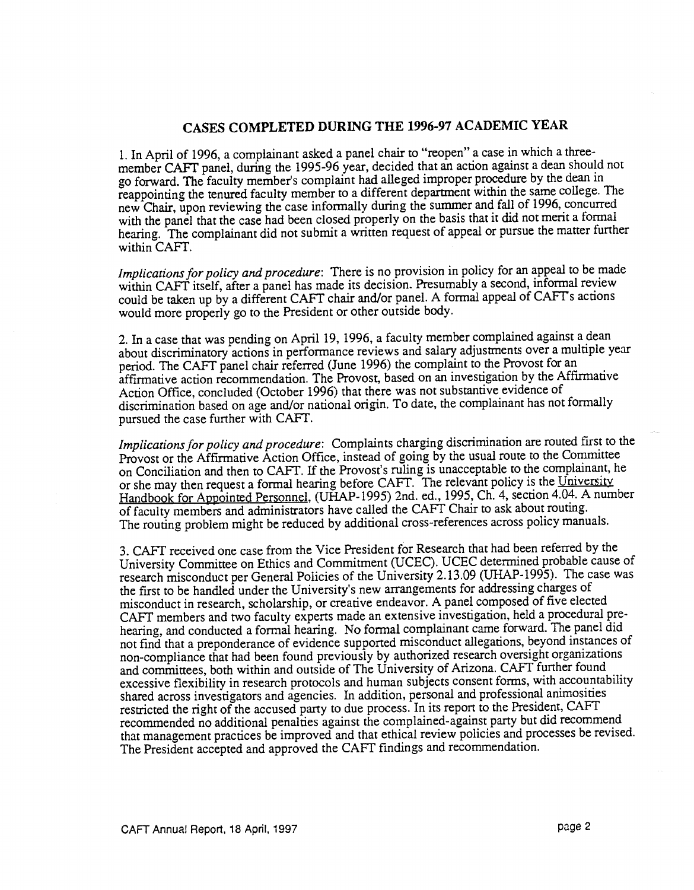## CASES COMPLETED DURING THE 1996-97 ACADEMIC YEAR

In April of 1996, a complainant asked a panel chair to "reopen" a case in which a threemember CAFT panel, during the 1995-96 year, decided that an action against a dean should not go forward. The faculty member's complaint had alleged improper procedure by the dean in reappointing the tenured faculty member to a different department within the samecollege. The new Chair, upon reviewing the case informally during the summer and fall of 1996, concurred with the panel that the case had been closed properly on the basis that it did not merit a formal hearing. The complainant did not submit a written request of appeal or pursue the matter further within CAFT.

Implications for policy and procedure: There is no provision in policy for an appeal to be made within CAFT itself, after a panel has made its decision. Presumably a second, informal review could be taken up by a different CAPT chair and/or panel. A formal appeal of CAFTs actions would more properly go to the President or other outside body.

2. In a case that was pending on April 19, 1996, a faculty member complained against a dean about discriminatory actions in performance reviews and salary adjustments over a multiple year period. The CAFT panel chair referred (June 1996) the complaint to the Provost for an affirmative action recommendation. The Provost, based on an investigation by the Affirmative Action Office, concluded (October 1996) that there was not substantive evidence of discrimination based on age and/or national origin. To date, the complainant has not formally pursued the case further with CAFF.

Implications for policy and procedure: Complaints charging discrimination are routed first to the Provost or the Affirmative Action Office, instead of going by the usual route to the Committee on Conciliation and then to CAFT. If the Provost's ruling is unacceptable to the complainant, he or she may then request a formal hearing before CAFT. The relevant policy is the University Handbook for Appointed Personnel, (UHAP-1995) 2nd. ed., 1995, Ch. 4, section 4.04. A number of faculty members and administrators have called the CAFT Chair to ask aboutrouting. The routing problem might be reduced by additional cross-references across policy manuals.

CAPT received one case from the Vice President for Research that had been referred by the University Committee on Ethics and Commitment (UCEC). UCEC determined probable cause of research misconduct per General Policies of the University 2.13.09 (UHAP-1995). The case was the first to be handled under the University's new arrangements for addressing charges of misconduct in research, scholarship, or creative endeavor. A panel composed of five elected CAPT members and two faculty experts made an extensive investigation, held a procedural prehearing, and conducted a formal hearing. No formal complainant came forward. The panel did not find that a preponderance of evidence supported misconduct allegations, beyond instances of non-compliance that had been found previously by authorized research oversight organizations and committees, both within and outside of The University of Arizona. CAPT further found excessive flexibility in research protocols and human subjects consent forms, with accountability shared across investigators and agencies. In addition, personal and professional animosities restricted the right of the accused party to due process. In its report to the President, CAFT recommended no additional penalties against the complained-against party but did recommend that management practices be improved and that ethical review policies and processes be revised. The President accepted and approved the CAPT findings and recommendation.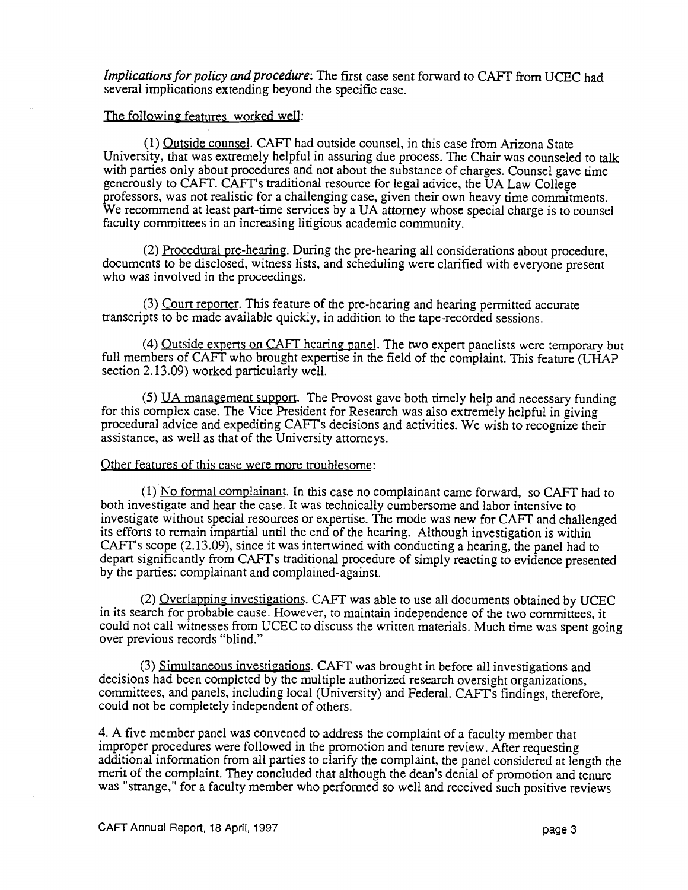Implications for policy and procedure: The first case sent forward to CAFT from UCEC had several implications extending beyond the specific case.

## The following features worked well:

 $(1)$  Outside counsel. CAFT had outside counsel, in this case from Arizona State University, that was extremely helpful in assuring due process. The Chair was counseled to talk with parties only about procedures and not about the substance of charges. Counsel gave time generously to CAPT. CAPT's traditional resource for legal advice, the UA Law College professors, was not realistic for a challenging case, given their own heavy time commitments. We recommend at least part-time services by a UA attorney whose special charge is to counsel faculty committees in an increasing litigious academic community.

Procedural pre-hearing. During the pre-hearing all considerations about procedure, documents to be disclosed, witness lists, and scheduling were clarified with everyone present who was involved in the proceedings.

(3) Court reporter. This feature of the pre-hearing and hearing permitted accurate transcripts to be made available quickly, in addition to the tape-recorded sessions.

(4) Outside experts on CAFT hearing panel. The two expert panelists were temporary but full members of CAFT who brought expertise in the field of the complaint. This feature (UHAP section 2.13.09) worked particularly well.

 $(5)$  UA management support. The Provost gave both timely help and necessary funding for this complex case. The Vice President for Research was also extremely helpful in giving procedural advice and expediting CAFTs decisions and activities. We wish to recognize their assistance, as well as that of the University attorneys.

## Other features of this case were more troublesome:

 $(1)$  No formal complainant. In this case no complainant came forward, so CAFT had to both investigate and hear the case. It was technically cumbersome and labor intensive to investigate without special resources or expertise. The mode was new for CAFT and challenged its efforts to remain impartial until the end of the hearing. Although investigation is within CAFT's scope  $(2.13.09)$ , since it was intertwined with conducting a hearing, the panel had to depart significantly from CAFTs traditional procedure of simply reacting to evidence presented by the parties: complainant and complained-against.

(2) Overlapping investigations. CAFT was able to use all documents obtained by UCEC in its search for probable cause. However, to maintain independence of the two committees, it could not call witnesses from UCEC to discuss the written materials. Much time was spent going over previous records "blind."

(3) Simultaneous investigations. CAFT was brought in before all investigations and decisions had been completed by the multiple authorized research oversight organizations, committees, and panels, including local (University) and Federal. CAFTs findings, therefore, could not be completely independent of others.

4. A five member panel was convened to address the complaint of a faculty member that improper procedures were followed in the promotion and tenure review. After requesting additional information from all parties to clarify the complaint, the panel considered at length the merit of the complaint. They concluded that although the dean's denial of promotion and tenure was "strange," for a faculty member who performed so well and received such positive reviews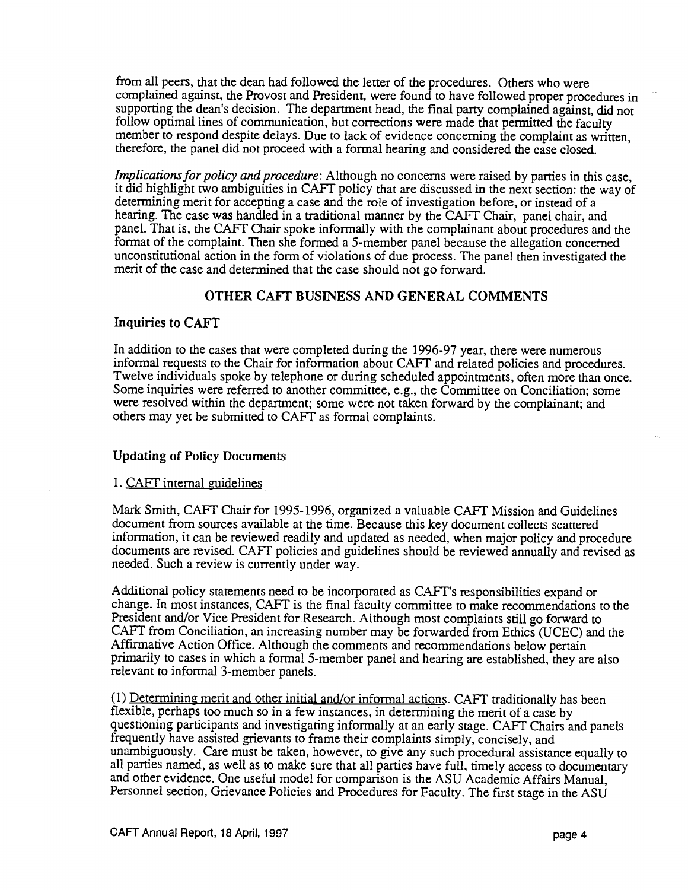from all peers, that the dean had followed the letter of the procedures. Others who were complained against, the Provost and President, were found to have followed proper procedures in supporting the dean's decision. The department head, the final party complained against, did not follow optimal lines of communication, but corrections were made that permitted the faculty member to respond despite delays. Due to lack of evidence concerning the complaint as written, therefore, the panel did not proceed with a formal hearing and considered the case closed.

Implications for policy and procedure: Although no concerns were raised by parties in this case, it did highlight two ambiguities in CAFT policy that are discussed in the next section: the way of determining merit for accepting a case and the role of investigation before, or instead of a hearing. The case was handled in a traditional manner by the CAFT Chair, panel chair, and panel. That is, the CAFF Chair spoke informally with the complainant about procedures and the format of the complaint. Then she formed a 5-member panel because the allegation concerned unconstitutional action in the form of violations of due process. The panel then investigated the merit of the case and determined that the case should not go forward.

## OTHER CAFF BUSINESS AND GENERAL COMMENTS

## Inquiries to CAFT

In addition to the cases that were completed during the 1996-97 year, there were numerous informal requests to the Chair for information about CAFT and related policies and procedures. Twelve individuals spoke by telephone or during scheduled appointments, often more than once. Some inquiries were referred to another committee, e.g., the Committee on Conciliation; some were resolved within the department; some were not taken forward by the complainant; and others may yet be submitted to CAFT as formal complaints.

## Updating of Policy Documents

## 1. CAFT internal guidelines

Mark Smith, CAFT Chair for 1995-1996, organized a valuable CAFT Mission and Guidelines document from sources available at the time. Because this key document collects scattered information, it can be reviewed readily and updated as needed, when major policy and procedure documents are revised. CAFT policies and guidelines should be reviewed annually and revised as needed. Such a review is currently under way.

Additional policy statements need to be incorporated as CAFT's responsibilities expand or change. In most instances, CAPT is the final faculty committee to make recommendations to the President and/or Vice President for Research. Although most complaints still go forward to CAFT from Conciliation, an increasing number may be forwarded from Ethics (UCEC) and the Affirmative Action Office. Although the comments and recommendations below pertain primarily to cases in which a formal 5-member panel and hearing are established, they are also relevant to informal 3-member panels.

(1) Determining merit and other initial and/or informal actions. CAFT traditionally has been flexible, perhaps too much so in a few instances, in determining the merit of a case by questioning participants and investigating informally at an early stage. CAPT Chairs and panels frequently have assisted grievants to frame their complaints simply, concisely, and unambiguously. Care must be taken, however, to give any such procedural assistance equally to all parties named, as well as to make sure that all parties have full, timely access to documentary and other evidence. One useful model for comparison is the ASU Academic Affairs Manual, Personnel section, Grievance Policies and Procedures for Faculty. The first stage in the ASU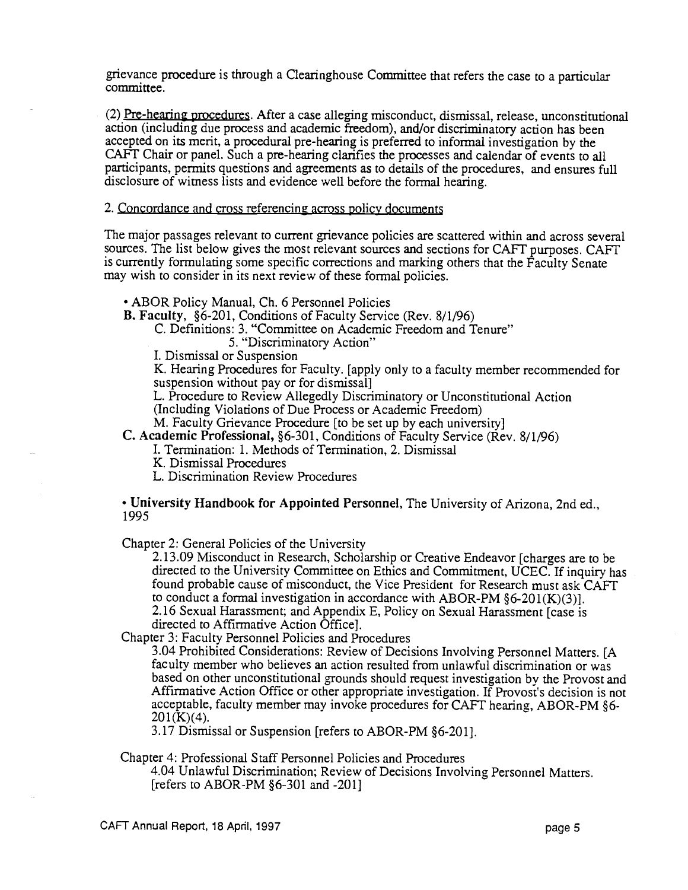grievance procedure is through a Clearinghouse Committee that refers the case to a particular committee.

(2) Pre-hearing procedures. After a case alleging misconduct, dismissal, release, unconstitutional action (including due process and academic freedom), and/or discriminatory action has been accepted on its merit, a procedural pre-hearing is preferred to informal investigation by the CAFF Chair or panel. Such a pre-hearing clarifies the processes and calendar of events to all participants, permits questions and agreements as to details of the procedures, and ensures full disclosure of witness lists and evidence well before the formal hearing.

2. Concordance and cross referencing across policy documents

The major passages relevant to current grievance policies are scattered within and across several sources. The list below gives the most relevant sources and sections for CAFT purposes. CAFT is currently formulating some specific corrections and marking others that the Faculty Senate may wish to consider in its next review of these formal policies.

ABOR Policy Manual, Ch. 6 Personnel Policies

B. Faculty, §6-201, Conditions of Faculty Service (Rev. 8/1/96)

C. Definitions: 3. "Committee on Academic Freedom and Tenure"

5. "Discriminatory Action"

I. Dismissal or Suspension

K. Hearing Procedures for Faculty. [apply only to a faculty member recommended for suspension without pay or for dismissal]

L. Procedure to Review Allegedly Discriminatory or Unconstitutional Action

(Including Violations of Due Process or Academic Freedom)

M. Faculty Grievance Procedure [to be set up by each university]

C. Academic Professional, §6-30 1, Conditions of Faculty Service (Rev. 8/1/96)

I. Termination: 1. Methods of Termination, 2. Dismissal

K. Dismissal Procedures

L. Discrimination Review Procedures

University Handbook for Appointed Personnel, The University of Arizona, 2nd ed., 1995

Chapter 2: General Policies of the University

2.13.09 Misconduct in Research, Scholarship or Creative Endeavor [charges are to be directed to the University Committee on Ethics and Commitment, UCEC. If inquiry has found probable cause of misconduct, the Vice President for Research must ask CAFT to conduct a formal investigation in accordance with ABOR-PM  $§6-201(K)(3)$ ]. 2.16 Sexual Harassment; and Appendix E, Policy on Sexual Harassment [case is directed to Affirmative Action Office].

Chapter 3: Faculty Personnel Policies and Procedures

3.04 Prohibited Considerations: Review of Decisions Involving Personnel Matters. [A faculty member who believes an action resulted from unlawful discrimination or was based on other unconstitutional grounds should request investigation by the Provost and Affirmative Action Office or other appropriate investigation. If Provost's decision is not acceptable, faculty member may invoke procedures for CAFT hearing, ABOR-PM §6-  $201(K)(4)$ .

3.17 Dismissal or Suspension [refers to ABOR-PM §6-201].

Chapter 4: Professional Staff Personnel Policies and Procedures

4.04 Unlawful Discrimination; Review of Decisions Involving Personnel Matters. [refers to ABOR-PM §6-301 and -201]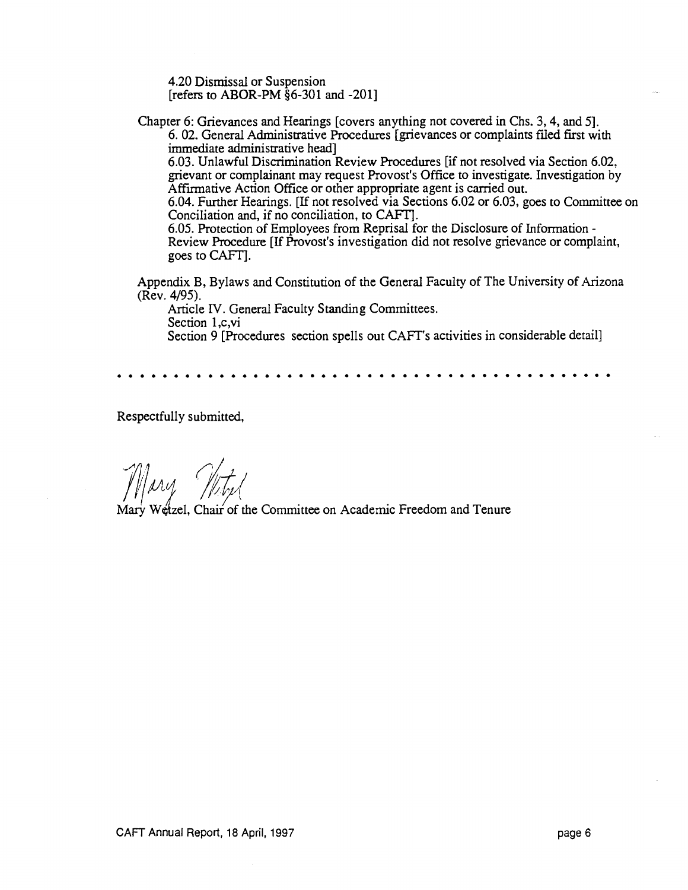4.20 Dismissal or Suspension [refers to ABOR-PM §6-301 and -201]

Chapter 6: Grievances and Hearings [covers anything not covered in Chs. 3, 4, and 5].

6. 02. General Administrative Procedures [grievances or complaints filed first with immediate administrative head]

6.03. Unlawful Discrimination Review Procedures [if not resolved via Section 6.02, grievant or complainant may request Provost's Office to investigate. Investigation by Affirmative Action Office or other appropriate agent is carried out.

6.04. Further Hearings. [If not resolved via Sections 6.02 or 6.03, goes to Committee on Conciliation and, if no conciliation, to CAFT].

6.05. Protection of Employees from Reprisal for the Disclosure of Information - Review Procedure [If Provost's investigation did not resolve grievance or complaint, goes to CAFT].

Appendix B, Bylaws and Constitution of the Generai Faculty of The University of Arizona (Rev. 4/95).

Article IV. Generai Faculty Standing Committees. Section 1,c,vi Section 9 [Procedures section spells out CAFT's activities in considerable detail]

Respectfully submitted,

Wetzel, Chair of the Committee on Academic Freedom and Tenure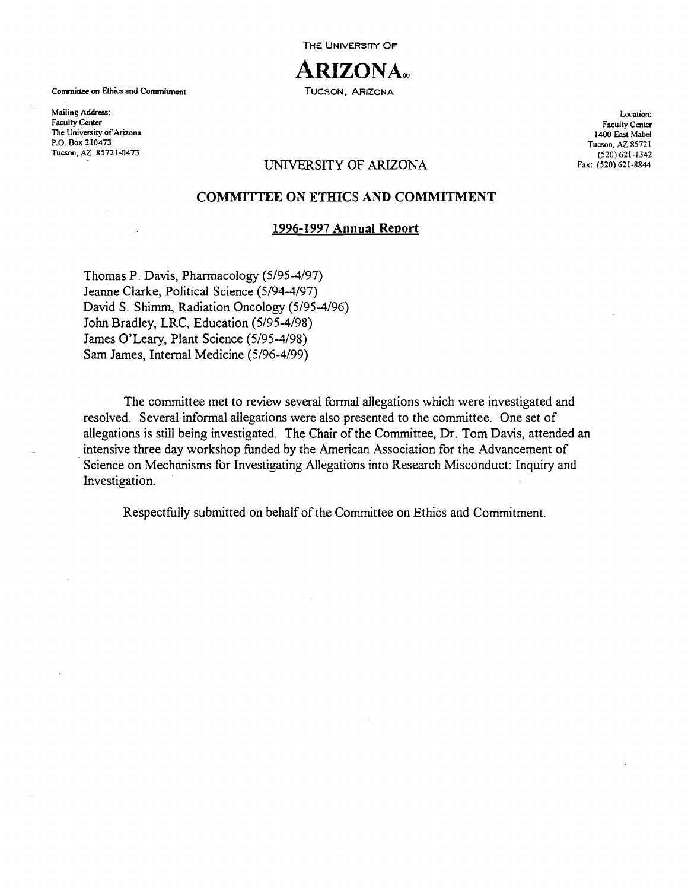**THE UNIVERSITY OF** 



Committee on Ethics and Commitment TUCSON, ARIZONA

Mailing Address: Faculty Center The University of Arizona P.O. Box 210473 Tucson, AZ 85721-0473

Location: Faculty Center 1400 East Mabel Tucson, AZ 85721 (520) 621.1342 Fax: (520)621.8844

## UNIVERSITY OF ARIZONA

## COMMITFEE ON ETHICS AND COMMITMENT

### 1996-1997 Annual Report

Thomas P. Davis, Pharmacology (5/95-4/97) Jeanne Clarke, Political Science (5/94-4/97) David S. Shimm, Radiation Oncology (5/95-4/96) John Bradley, LRC, Education (5/95-4/98) James O'Leary, Plant Science (5/95-4/98) Sam James, Internal Medicine (5/96-4/99)

The committee met to review several formal allegations which were investigated and resolved. Several informal allegations were also presented to the committee. One set of allegations is still being investigated. The Chair of the Committee, Dr. Tom Davis, attended an intensive three day workshop funded by the American Association for the Advancement of Science on Mechanisms for Investigating Allegations into Research Misconduct: Inquiry and Investigation.

Respectfully submitted on behalf of the Committee on Ethics and Commitment.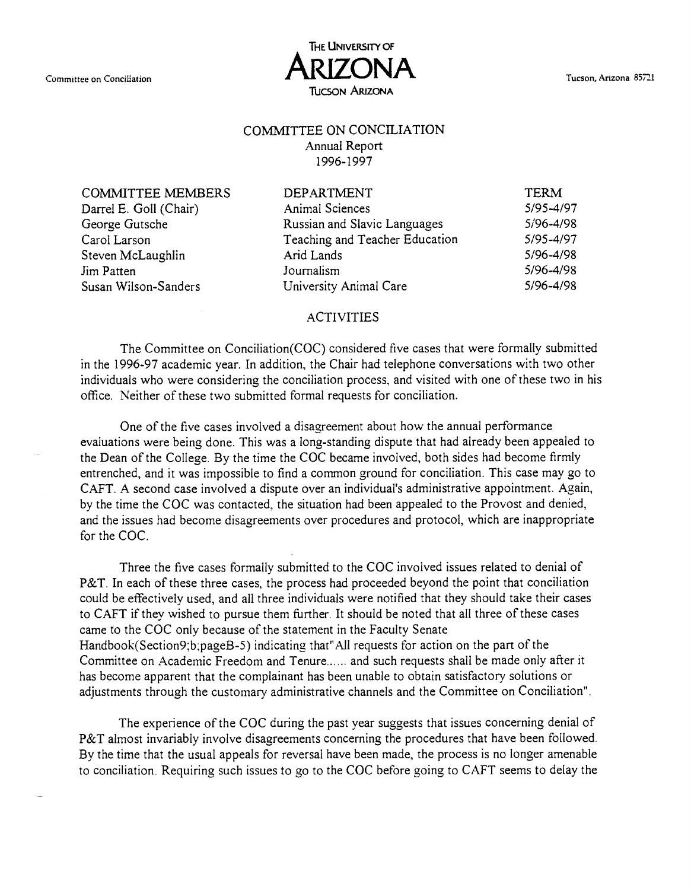

## COMMITTEE ON CONCILIATION Annual Report

1996-1997

COMMITTEE MEMBERS Darrel E. Goll (Chair) George Gutsche Carol Larson Steven McLaughlin Jim Patten Susan Wilson-Sanders

| <b>DEPARTMENT</b>              | <b>TERM</b> |
|--------------------------------|-------------|
| <b>Animal Sciences</b>         | 5/95-4/97   |
| Russian and Slavic Languages   | 5/96-4/98   |
| Teaching and Teacher Education | 5/95-4/97   |
| Arid Lands                     | 5/96-4/98   |
| Journalism                     | 5/96-4/98   |
| University Animal Care         | 5/96-4/98   |
|                                |             |

## ACTIVITIES

The Committee on Conciliation(COC) considered five cases that were formally submitted in the 1996-97 academic year. In addition, the Chair had telephone conversations with two other individuals who were considering the conciliation process, and visited with one of these two in his office. Neither of these two submitted formal requests for conciliation.

One of the five cases involved a disagreement about how the annual performance evaluations were being done. This was a long-standing dispute that had already been appealed to the Dean of the College. By the time the COC became involved, both sides had become firmly entrenched, and it was impossible to find a common ground for conciliation. This case may go to CAFT. A second case involved a dispute over an individual's administrative appointment. Again, by the time the COC was contacted, the situation had been appealed to the Provost and denied, and the issues had become disagreements over procedures and protocol, which are inappropriate for the COC.

Three the five cases formally submitted to the COC involved issues related to denial of P&T. In each of these three cases, the process had proceeded beyond the point that conciliation could be effectively used, and all three individuals were notified that they should take their cases to CAFT if they wished to pursue them further. It should be noted that all three of these cases came to the COC only because of the statement in the Faculty Senate Handbook(Section9,b,pageB-5) indicating that"All requests for action on the part of the Committee on Academic Freedom and Tenure...... and such requests shall be made only after it has become apparent that the complainant has been unable to obtain satisfactory solutions or adjustments through the customary administrative channels and the Committee on Conciliation".

The experience of the COC during the past year suggests that issues concerning denial of P&T almost invariably involve disagreements concerning the procedures that have been followed. By the time that the usual appeals for reversal have been made, the process is no longer amenable to conciliation. Requiring such issues to go to the COC before going to CAFT seems to delay the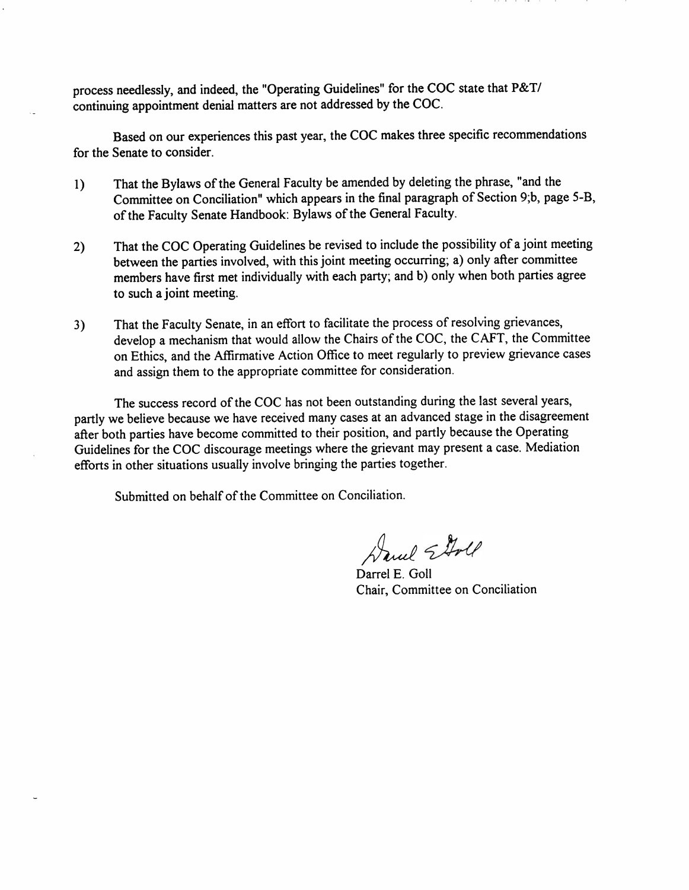process needlessly, and indeed, the "Operating Guidelines" for the COC state that P&T/ continuing appointment denial matters are not addressed by the COC.

Based on our experiences this past year, the COC makes three specific recommendations for the Senate to consider.

- That the Bylaws of the General Faculty be amended by deleting the phrase, "and the  $1)$ Committee on Conciliation" which appears in the final paragraph of Section 9;b, page 5-B, of the Faculty Senate Handbook: Bylaws of the General Faculty.
- That the COC Operating Guidelines be revised to include the possibility of a joint meeting  $2)$ between the parties involved, with this joint meeting occurring; a) only after committee members have first met individually with each party; and b) only when both parties agree to such a joint meeting.
- That the Faculty Senate, in an effort to facilitate the process of resolving grievances,  $3)$ develop a mechanism that would allow the Chairs of the COC, the CAFT, the Committee on Ethics, and the Affirmative Action Office to meet regularly to preview grievance cases and assign them to the appropriate committee for consideration.

The success record of the COC has not been outstanding during the last several years, partly we believe because we have received many cases at an advanced stage in the disagreement after both parties have become committed to their position, and partly because the Operating Guidelines for the COC discourage meetings where the grievant may present a case. Mediation efforts in other situations usually involve bringing the parties together.

Submitted on behalf of the Committee on Conciliation.

Daniel Etal

Darrel E. Goll Chair, Committee on Conciliation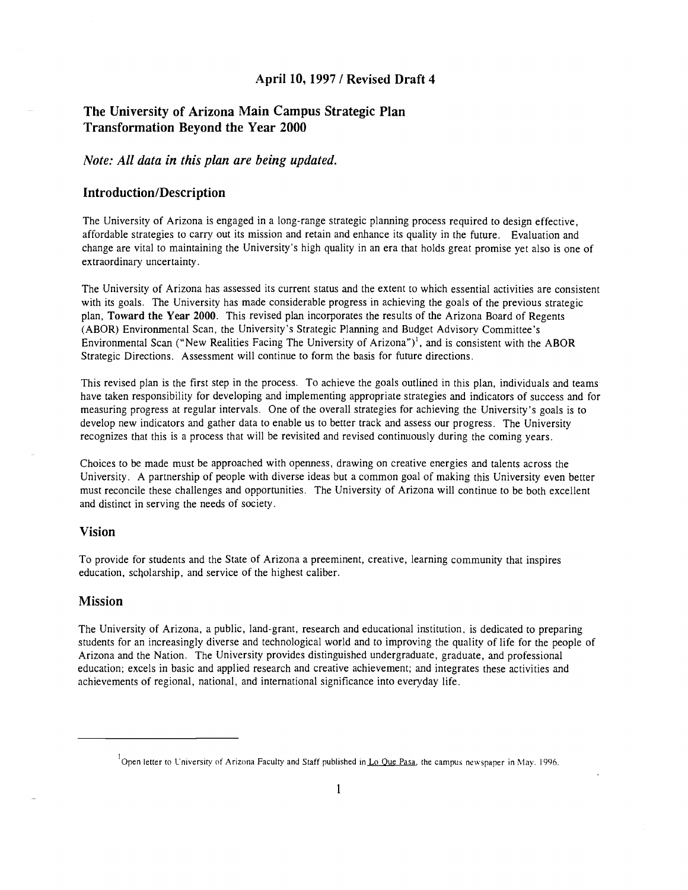## April 10, 1997 / Revised Draft 4

## The University of Arizona Main Campus Strategic Plan Transformation Beyond the Year 2000

## Note: All data in this plan are being updated.

## Introduction/Description

The University of Arizona is engaged in a long-range strategic planning process required to design effective, affordable strategies to carry out its mission and retain and enhance its quality in the future. Evaluation and change are vital to maintaining the University's high quality in an era that holds great promise yet also is one of extraordinary uncertainty.

The University of Arizona has assessed its current status and the extent to which essential activities are consistent with its goals. The University has made considerable progress in achieving the goals of the previous strategic plan, Toward the Year 2000. This revised plan incorporates the results of the Arizona Board of Regents (ABOR) Environmental Scan, the University's Strategic Planning and Budget Advisory Committee's Environmental Scan ("New Realities Facing The University of Arizona")<sup>1</sup>, and is consistent with the ABOR Strategic Directions. Assessment will continue to form the basis for future directions.

This revised plan is the first step in the process. To achieve the goals outlined in this plan, individuals and teams have taken responsibility for developing and implementing appropriate strategies and indicators of success and for measuring progress at regular intervals. One of the overall strategies for achieving the University's goals is to develop new indicators and gather data to enable us to better track and assess our progress. The University recognizes that this is a process that will be revisited and revised continuously during the coming years.

Choices to be made must be approached with openness, drawing on creative energies and talents across the University. A partnership of people with diverse ideas but a common goal of making this University even better must reconcile these challenges and opportunities. The University of Arizona will continue to be both excellent and distinct in serving the needs of society.

## Vision

To provide for students and the State of Arizona a preeminent, creative, learning community that inspires education, sclolarship, and service of the highest caliber.

### Mission

The University of Arizona, a public, land-grant, research and educational institution, is dedicated to preparing students for an increasingly diverse and technological world and to improving the quality of life for the people of Arizona and the Nation. The University provides distinguished undergraduate, graduate, and professional education; excels in basic and applied research and creative achievement; and integrates these activities and achievements of regional, national, and international significance into everyday life.

<sup>&</sup>lt;sup>1</sup>Open letter to University of Arizona Faculty and Staff published in <u>Lo Que Pasa</u>, the campus newspaper in May. 1996.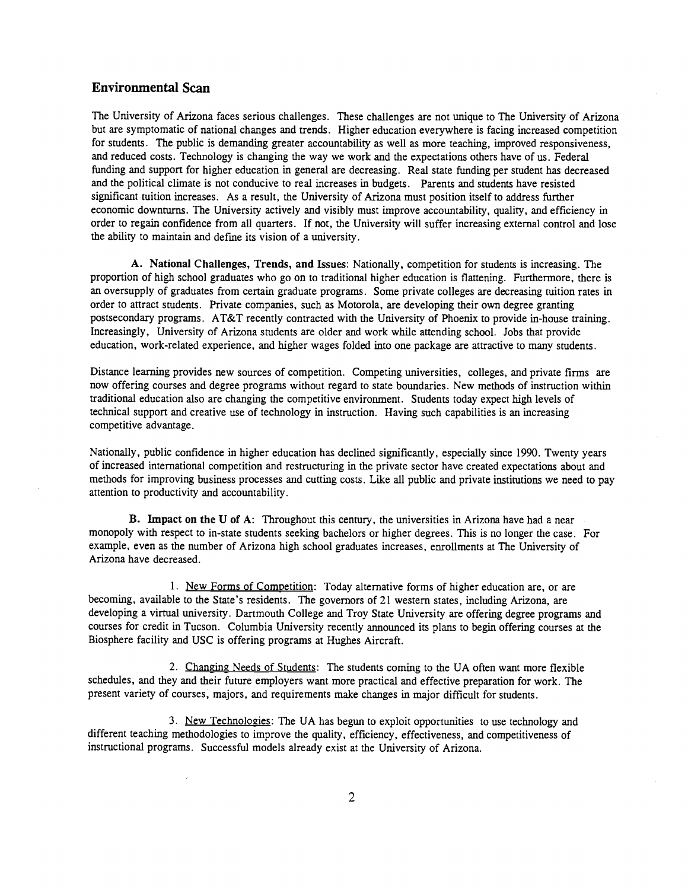## Environmental Scan

The University of Arizona faces serious challenges. These challenges are not unique to The University of Arizona but are symptomatic of national changes and trends. Higher education everywhere is facing increased competition for students. The public is demanding greater accountability as well as more teaching, improved responsiveness, and reduced costs. Technology is changing the way we work and the expectations others have of us. Federal funding and support for higher education in general are decreasing. Real state funding per student has decreased and the political climate is not conducive to real increases in budgets. Parents and students have resisted significant tuition increases. As a result, the University of Arizona must position itself to address further economic downturns. The University actively and visibly must improve accountability, quality, and efficiency in order to regain confidence from all quarters. If not, the University will suffer increasing external control and lose the ability to maintain and defme its vision of a university.

A. National Challenges, Trends, and Issues: Nationally, competition for students is increasing. The proportion of high school graduates who go on to traditional higher education is flattening. Furthermore, there is an oversupply of graduates from certain graduate programs. Some private colleges are decreasing tuition rates in order to attract students. Private companies, such as Motorola, are developing their own degree granting postsecondary programs. AT&T recently contracted with the University of Phoenix to provide in-house training. Increasingly, University of Arizona students are older and work while attending school. Jobs that provide education, work-related experience, and higher wages folded into one package are attractive to many students.

Distance learning provides new sources of competition. Competing universities, colleges, and private firms are now offering courses and degree programs without regard to state boundaries. New methods of instruction within traditional education also are changing the competitive environment. Students today expect high levels of technical support and creative use of technology in instruction. Having such capabilities is an increasing competitive advantage.

Nationally, public confidence in higher education has declined significantly, especially since 1990. Twenty years of increased international competition and restructuring in the private sector have created expectations about and methods for improving business processes and cutting costs. Like all public and private institutions we need to pay attention to productivity and accountability.

B. Impact on the U of A: Throughout this century, the universities in Arizona have had a near monopoly with respect to in-state students seeking bachelors or higher degrees. This is no longer the case. For example, even as the number of Arizona high school graduates increases, enrollments at The University of Arizona have decreased.

1. New Forms of Competition: Today alternative forms of higher education are, or are becoming, available to the State's residents. The governors of 21 western states, including Arizona, are developing a virtual university. Dartmouth College and Troy State University are offering degree programs and courses for credit in Tucson. Columbia University recently announced its plans to begin offering courses at the Biosphere facility and USC is offering programs at Hughes Aircraft.

2. Changing Needs of Students: The students coming to the UA often want more flexible schedules, and they and their future employers want more practical and effective preparation for work. The present variety of courses, majors, and requirements make changes in major difficult for students.

3. New Technologies: The UA has begun to exploit opportunities to use technology and different teaching methodologies to improve the quality, efficiency, effectiveness, and competitiveness of instructional programs. Successful models already exist at the University of Arizona.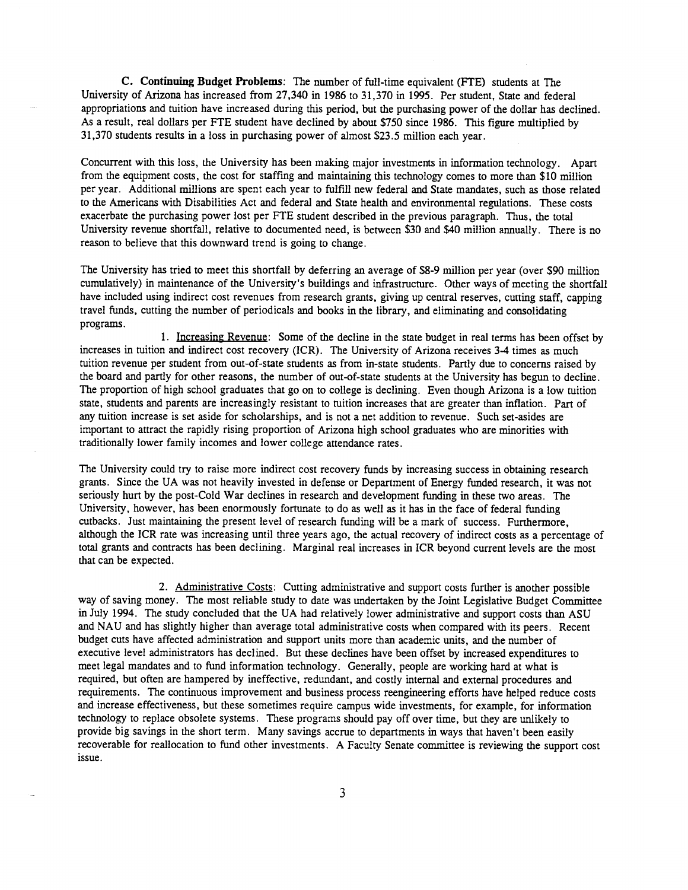C. Continuing Budget Problems: The number of full-time equivalent (FTE) students at The University of Arizona has increased from 27,340 in 1986 to 31,370 in 1995. Per student, State and federal appropriations and tuition have increased during this period, but the purchasing power of the dollar has declined. As a result, real dollars per FTE student have declined by about \$750 since 1986. This figure multiplied by 31,370 students results in a loss in purchasing power of almost \$23.5 million each year.

Concurrent with this loss, the University has been making major investments in information technology. Apart from the equipment costs, the cost for staffing and maintaining this technology comes to more than \$10 million per year. Additional millions are spent each year to fulfill new federal and State mandates, such as those related to the Americans with Disabilities Act and federal and State health and environmental regulations. These costs exacerbate the purchasing power lost per FTE student described in the previous paragraph. Thus, the total University revenue shortfall, relative to documented need, is between \$30 and \$40 million annually. There is no reason to believe that this downward trend is going to change.

The University has tried to meet this shortfall by deferring an average of \$8-9 million per year (over \$90 million cumulatively) in maintenance of the University's buildings and infrastructure. Other ways of meeting the shortfall have included using indirect cost revenues from research grants, giving up central reserves, cutting staff, capping travel funds, cutting the number of periodicals and books in the library, and eliminating and consolidating programs.

1. Increasing Revenue: Some of the decline in the state budget in real terms has been offset by increases in tuition and indirect cost recovery (ICR). The University of Arizona receives 3-4 times as much tuition revenue per student from out-of-state students as from in-state students. Partly due to concerns raised by the board and partly for other reasons, the number of out-of-state students at the University has begun to decline. The proportion of high school graduates that go on to college is declining. Even though Arizona is a low tuition state, students and parents are increasingly resistant to tuition increases that are greater than inflation. Part of any tuition increase is set aside for scholarships, and is not a net addition to revenue. Such set-asides are important to attract the rapidly rising proportion of Arizona high school graduates who are minorities with traditionally lower family incomes and lower college attendance rates.

The University could try to raise more indirect cost recovery funds by increasing success in obtaining research grants. Since the UA was not heavily invested in defense or Department of Energy funded research, it was not seriously hurt by the post-Cold War declines in research and development funding in these two areas. The University, however, has been enormously fortunate to do as well as it has in the face of federal funding cutbacks. Just maintaining the present level of research funding will be a mark of success. Furthermore, although the ICR rate was increasing until three years ago, the actual recovery of indirect costs as a percentage of total grants and contracts has been declining. Marginal real increases in ICR beyond current levels are the most that can be expected.

2. Administrative Costs: Cutting administrative and support costs further is another possible way of saving money. The most reliable study to date was undertaken by the Joint Legislative Budget Committee in July 1994. The study concluded that the UA had relatively lower administrative and support costs than ASU and NAU and has slightly higher than average total administrative costs when compared with its peers. Recent budget cuts have affected administration and support units more than academic units, and the number of executive level administrators has declined. But these declines have been offset by increased expenditures to meet legal mandates and to fund information technology. Generally, people are working hard at what is required, but often are hampered by ineffective, redundant, and costly internal and external procedures and requirements. The continuous improvement and business process reengineering efforts have helped reduce costs and increase effectiveness, but these sometimes require campus wide investments, for example, for information technology to replace obsolete systems. These programs should pay off over time, but they are unlikely to provide big savings in the short term. Many savings accrue to departments in ways that haven't been easily recoverable for reallocation to fund other investments. A Faculty Senate committee is reviewing the support cost issue.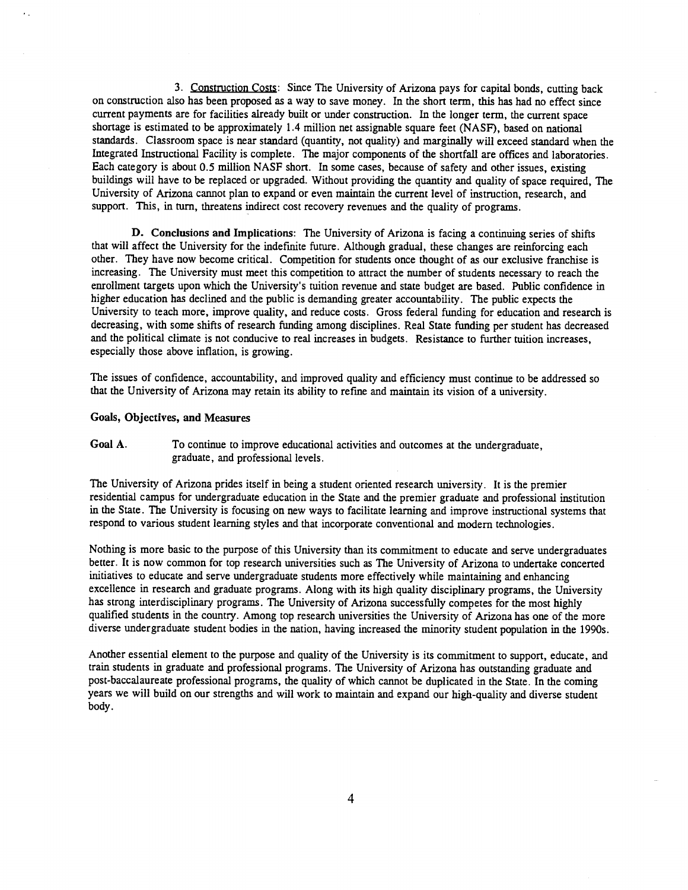3. Construction Costs: Since The University of Arizona pays for capital bonds, cutting back on construction also has been proposed as a way to save money. In the short term, this has had no effect since current payments are for facilities already built or under construction. In the longer term, the current space shortage is estimated to be approximately 1.4 million net assignable square feet (NASF), based on national standards. Classroom space is near standard (quantity, not quality) and marginally will exceed standard when the Integrated Instructional Facility is complete. The major components of the shortfall are offices and laboratories. Each category is about 0.5 million NASF short. In some cases, because of safety and other issues, existing buildings will have to be replaced or upgraded. Without providing the quantity and quality of space required, The University of Arizona cannot plan to expand or even maintain the current level of instruction, research, and support. This, in turn, threatens indirect cost recovery revenues and the quality of programs.

D. Conclusions and Implications: The University of Arizona is facing a continuing series of shifts that will affect the University for the indefinite future. Although gradual, these changes are reinforcing each other. They have now become critical. Competition for students once thought of as our exclusive franchise is increasing. The University must meet this competition to attract the number of students necessary to reach the enrollment targets upon which the University's tuition revenue and state budget are based. Public confidence in higher education has declined and the public is demanding greater accountability. The public expects the University to teach more, improve quality, and reduce costs. Gross federal funding for education and research is decreasing, with some shifts of research funding among disciplines. Real State funding per student has decreased and the political climate is not conducive to real increases in budgets. Resistance to further tuition increases, especially those above inflation, is growing.

The issues of confidence, accountability, and improved quality and efficiency must continue to be addressed so that the University of Arizona may retain its ability to refine and maintain its vision of a university.

#### Goals, Objectives, and Measures

Goal A. To continue to improve educational activities and outcomes at the undergraduate, graduate, and professional levels.

The University of Arizona prides itself in being a student oriented research university. It is the premier residential campus for undergraduate education in the State and the premier graduate and professional institution in the State. The University is focusing on new ways to facilitate learning and improve instructional systems that respond to various student learning styles and that incorporate conventional and modern technologies.

Nothing is more basic to the purpose of this University than its commitment to educate and serve undergraduates better. It is now common for top research universities such as The University of Arizona to undertake concerted initiatives to educate and serve undergraduate students more effectively while maintaining and enhancing excellence in research and graduate programs. Along with its high quality disciplinary programs, the University has strong interdisciplinary programs. The University of Arizona successfully competes for the most highly qualified students in the country. Among top research universities the University of Arizona has one of the more diverse undergraduate student bodies in the nation, having increased the minority student population in the 1990s.

Another essential element to the purpose and quality of the University is its commitment to support, educate, and train students in graduate and professional programs. The University of Arizona has outstanding graduate and post-baccalaureate professional programs, the quality of which cannot be duplicated in the State. In the coming years we will build on our strengths and will work to maintain and expand our high-quality and diverse student body.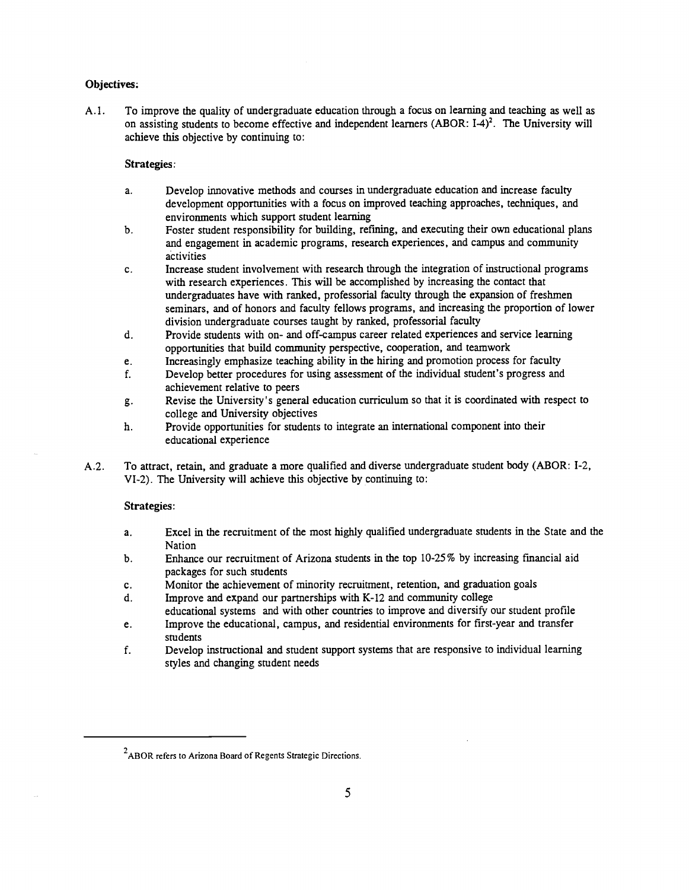## Objectives:

A. 1. To improve the quality of undergraduate education through a focus on learning and teaching as well as on assisting students to become effective and independent learners (ABOR:  $I-4$ )<sup>2</sup>. The University will achieve this objective by continuing to:

#### Strategies:

- Develop innovative methods and courses in undergraduate education and increase faculty a. development opportunities with a focus on improved teaching approaches, techniques, and environments which support student learning
- Foster student responsibility for building, refining, and executing their own educational plans b. and engagement in academic programs, research experiences, and campus and community activities
- Increase student involvement with research through the integration of instructional programs c. with research experiences. This will be accomplished by increasing the contact that undergraduates have with ranked, professorial faculty through the expansion of freshmen seminars, and of honors and faculty fellows programs, and increasing the proportion of lower division undergraduate courses taught by ranked, professorial faculty
- Provide students with on- and off-campus career related experiences and service learning d. opportunities that build community perspective, cooperation, and teamwork
- Increasingly emphasize teaching ability in the hiring and promotion process for faculty e.
- Develop better procedures for using assessment of the individual student's progress and f. achievement relative to peers
- Revise the University's general education curriculum so that it is coordinated with respect to g. college and University objectives
- Provide opportunities for students to integrate an international component into their h. educational experience
- A.2. To attract, retain, and graduate a more qualified and diverse undergraduate student body (ABOR: I-2, VI-2). The University will achieve this objective by continuing to:

#### Strategies:

- Excel in the recruitment of the most highly qualified undergraduate students in the State and the  $a<sub>1</sub>$ Nation
- b. Enhance our recruitment of Arizona students in the top 10-25% by increasing financial aid packages for such students
- c. Monitor the achievement of minority recruitment, retention, and graduation goals
- d. Improve and expand our partnerships with K-12 and community college
- educational systems and with other countries to improve and diversify our student profile
- Improve the educational, campus, and residential environments for first-year and transfer e. students
- f. Develop instructional and student support systems that are responsive to individual learning styles and changing student needs

 $2$ ABOR refers to Arizona Board of Regents Strategic Directions.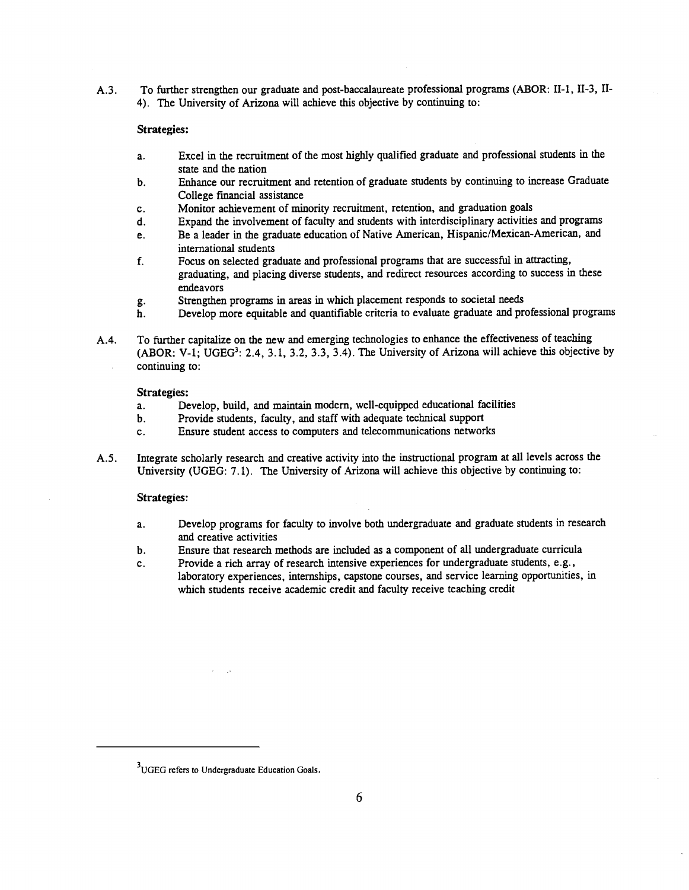A.3. To further strengthen our graduate and post-baccalaureate professional programs (ABOR: II-1, II-3, II-4). The University of Arizona will achieve this objective by continuing to:

#### Strategies:

- Excel in the recruitment of the most highly qualified graduate and professional students in the a. state and the nation
- Enhance our recruitment and retention of graduate students by continuing to increase Graduate  $\mathbf b$ . College financial assistance
- Monitor achievement of minority recruitment, retention, and graduation goals  $\mathbf{c}$ .
- Expand the involvement of faculty and students with interdisciplinary activities and programs d.
- Be a leader in the graduate education of Native American, Hispanic/Mexican-American, and e. international students
- Focus on selected graduate and professional programs that are successful in attracting, f. graduating, and placing diverse students, and redirect resources according to success in these endeavors
- Strengthen programs in areas in which placement responds to societal needs g.
- Develop more equitable and quantifiable criteria to evaluate graduate and professional programs h.
- A.4. To further capitalize on the new and emerging technologies to enhance the effectiveness of teaching (ABOR: V-1; UGEG<sup>3</sup>: 2.4, 3.1, 3.2, 3.3, 3.4). The University of Arizona will achieve this objective by continuing to:

#### Strategies:

- Develop, build, and maintain modern, well-equipped educational facilities a.
- Provide students, faculty, and staff with adequate technical support **.**
- $\mathbf{c}$ . Ensure student access to computers and telecommunications networks
- A.5. Integrate scholarly research and creative activity into the instructional program at all levels across the University (UGEG: 7.1). The University of Arizona will achieve this objective by continuing to:

#### Strategies:

- Develop programs for faculty to involve both undergraduate and graduate students in research  $a<sub>x</sub>$ and creative activities
- Ensure that research methods are included as a component of all undergraduate curricula  $\mathbf b$ .
- Provide a rich array of research intensive experiences for undergraduate students, e.g.,  $c.$ laboratory experiences, internships, capstone courses, and service learning opportunities, in which students receive academic credit and faculty receive teaching credit

<sup>&</sup>lt;sup>3</sup>UGEG refers to Undergraduate Education Goals.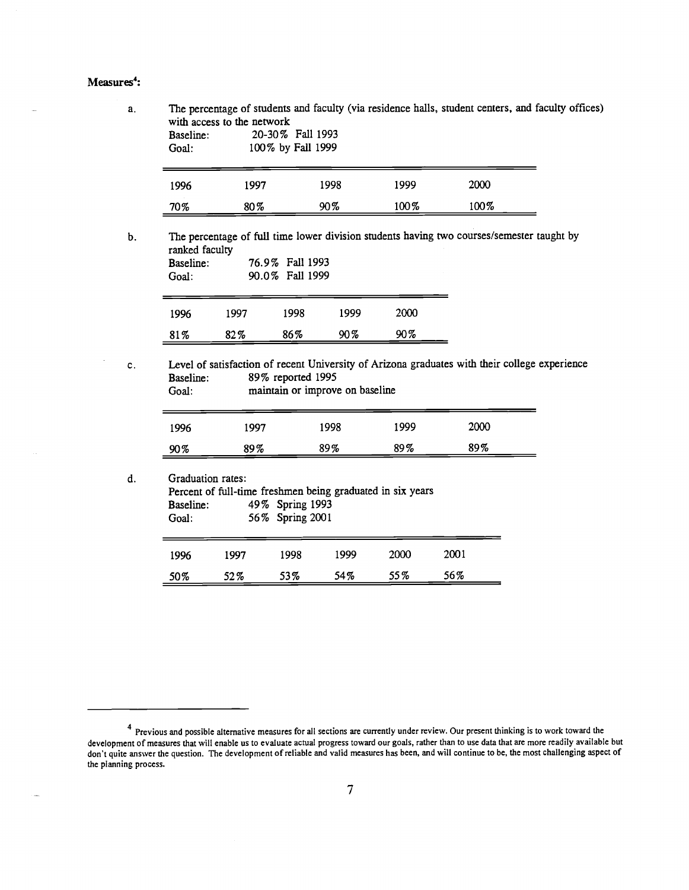### Measures<sup>4</sup>:

| Baseline:<br>Goal:                   | with access to the network                                                      | 20-30% Fall 1993<br>100% by Fall 1999 |                                 |      | The percentage of students and faculty (via residence halls, student centers, and faculty offices) |                                                                                               |
|--------------------------------------|---------------------------------------------------------------------------------|---------------------------------------|---------------------------------|------|----------------------------------------------------------------------------------------------------|-----------------------------------------------------------------------------------------------|
| 1996                                 | 1997                                                                            |                                       | 1998                            | 1999 | 2000                                                                                               |                                                                                               |
| 70%                                  | 80%                                                                             |                                       | 90%                             | 100% | 100%                                                                                               |                                                                                               |
| ranked faculty<br>Baseline:<br>Goal: |                                                                                 | 76.9% Fall 1993<br>90.0% Fall 1999    |                                 |      |                                                                                                    | The percentage of full time lower division students having two courses/semester taught by     |
|                                      |                                                                                 | 1998                                  | 1999                            | 2000 |                                                                                                    |                                                                                               |
| 1996                                 | 1997                                                                            |                                       |                                 |      |                                                                                                    |                                                                                               |
| 81%                                  | 82%                                                                             | 86%                                   | 90%                             | 90%  |                                                                                                    |                                                                                               |
| Baseline:<br>Goal:                   |                                                                                 | 89% reported 1995                     | maintain or improve on baseline |      |                                                                                                    | Level of satisfaction of recent University of Arizona graduates with their college experience |
| 1996                                 | 1997                                                                            |                                       | 1998                            | 1999 | 2000                                                                                               |                                                                                               |
| 90%                                  | 89%                                                                             |                                       | 89%                             | 89%  | 89%                                                                                                |                                                                                               |
| Baseline:<br>Goal:                   | Graduation rates:<br>Percent of full-time freshmen being graduated in six years | 49% Spring 1993<br>56% Spring 2001    |                                 |      |                                                                                                    |                                                                                               |
| 1996                                 | 1997                                                                            | 1998                                  | 1999                            | 2000 | 2001                                                                                               |                                                                                               |

Previous and possible alternative measures for all Sections are currently under review. Our present thinking is to work toward the development of measures that will enable us to evaluate actual progress toward our goals, rather than to use data that are more readily available but don't quite answer the question. The development of reliable and valid measures has been, and will continue to be, the most challenging aspect of the planning process.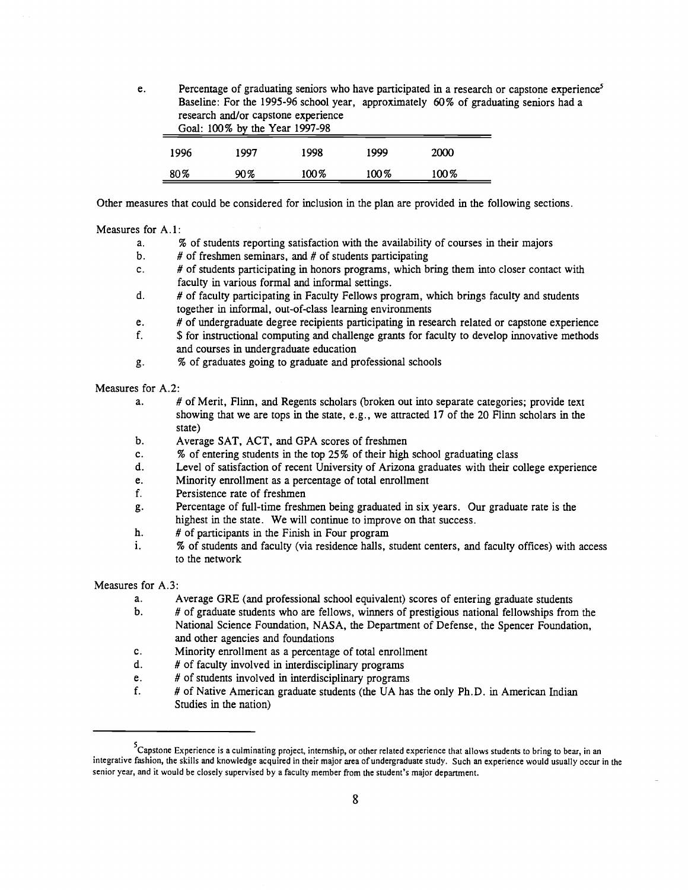e. Percentage of graduating seniors who have participated in a research or capstone experience<sup>5</sup> Baseline: For the 1995-96 school year, approximately 60% of graduating seniors had a research and/or capstone experience Goal: 100% by the Year 1997-98 1996 1997 1998 1999 2000 80% 90% 100% 100% 100%

Other measures that could be considered for inclusion in the plan are provided in the following sections.

#### Measures for A.1:

- % of students reporting satisfaction with the availability of courses in their majors  $a<sub>1</sub>$
- $\mathbf b$ . # of freshmen seminars, and # of students participating
- # of students participating in honors programs, which bring them into closer contact with  $c_{\cdot}$ faculty in various formal and informal settings.
- # of faculty participating in Faculty Fellows program, which brings faculty and students d. together in informal, out-of-class learning environments
- # of undergraduate degree recipients participating in research related or capstone experience e.
- \$ for instructional computing and challenge grants for faculty to develop innovative methods f. and courses in undergraduate education
- % of graduates going to graduate and professional schools g.

#### Measures for A.2:

- $a<sub>1</sub>$ # of Merit, Flinn, and Regents scholars (broken out into separate categories; provide text showing that we are tops in the state, e.g., we attracted 17 of the 20 Flinn scholars in the state)
- b. Average SAT, ACT, and GPA scores of freshmen
- c. % of entering students in the top 25% of their high school graduating class
- d. Level of satisfaction of recent University of Arizona graduates with their college experience
- Minority enrollment as a percentage of total enrollment e.
- f. Persistence rate of freshmen
- Percentage of full-time freshmen being graduated in six years. Our graduate rate is the g. highest in the state. We will continue to improve on that success.
- h. # of participants in the Finish in Four program
- i. % of students and faculty (via residence halls, student centers, and faculty offices) with access to the network

Measures for A.3:

- a. Average GRE (and professional school equivalent) scores of entering graduate students
- $\mathbf b$ . # of graduate students who are fellows, winners of prestigious national fellowships from the National Science Foundation, NASA, the Department of Defense, the Spencer Foundation, and other agencies and foundations
- c. Minority enrollment as a percentage of total enrollment
- # of faculty involved in interdisciplinary programs d.
- e. # of students involved in interdisciplinary programs
- f. # of Native American graduate students (the UA has the only Ph.D. in American Indian Studies in the nation)

 $5<sup>5</sup>$ Capstone Experience is a culminating project, internship, or other related experience that allows students to bring to bear, in an integrative fashion, the skills and knowledge acquired in their major area of undergraduate study. Such an experience would usually occur in the senior year, and it would be closely supervised by a faculty member from the student's major department.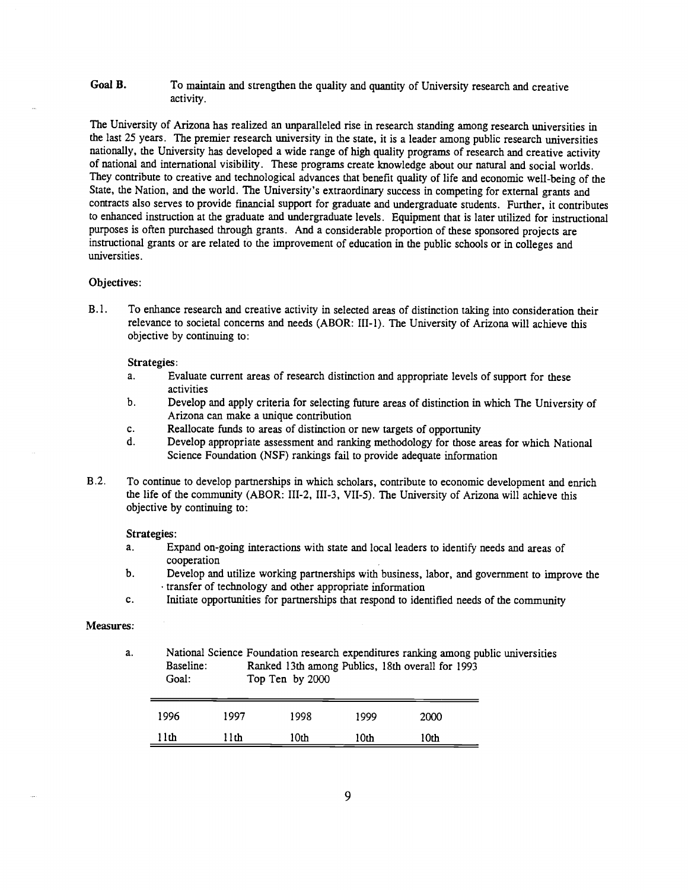#### Goal B. To maintain and strengthen the quality and quantity of University research and creative activity.

The University of Arizona has realized an unparalleled rise in research standing among research universities in the last 25 years. The premier research university in the state, it is a leader among public research universities nationally, the University has developed a wide range of high quality programs of research and creative activity of national and international visibility. These programs create knowledge about our natural and social worlds. They contribute to creative and technological advances that benefit quality of life and economic well-being of the State, the Nation, and the world. The University's extraordinary success in competing for external grants and contracts also serves to provide financial support for graduate and undergraduate students. Further, it contributes to enhanced instruction at the graduate and undergraduate levels. Equipment that is later utilized for instructional purposes is often purchased through grants. And a considerable proportion of these sponsored projects are instructional grants or are related to the improvement of education in the public schools or in colleges and universities.

#### Objectives:

B.l. To enhance research and creative activity in selected areas of distinction taking into consideration their relevance to societal concerns and needs (ABOR: III-1). The University of Arizona will achieve this objective by continuing to:

#### Strategies:

- $a<sub>1</sub>$ Evaluate current areas of research distinction and appropriate levels of support for these activities
- $<sub>b</sub>$ .</sub> Develop and apply criteria for selecting future areas of distinction in which The University of Arizona can make a unique contribution
- Reallocate funds to areas of distinction or new targets of opportunity c.
- Develop appropriate assessment and ranking methodology for those areas for which National d. Science Foundation (NSF) rankings fail to provide adequate information
- B .2. To continue to develop partnerships in which scholars, contribute to economic development and enrich the life of the community (ABOR: III-2, III-3, VII-5). The University of Arizona will achieve this objective by continuing to:

Strategies:

- $a<sub>z</sub>$ Expand on-going interactions with state and local leaders to identify needs and areas of cooperation
- b. Develop and utilize working partnerships with business, labor, and government to improve the transfer of technology and other appropriate information
- c. Initiate opportunities for partnerships that respond to identified needs of the community

#### Measures:

a. National Science Foundation research expenditures ranking among public universities Baseline: Ranked 13th among Publics, 18th overall for 1993 Goal: Top Ten by 2000

| 1996 | 1997 | 1998 | 1999 | 2000 |
|------|------|------|------|------|
| 1th  | .1th | 10th | 10th | 10th |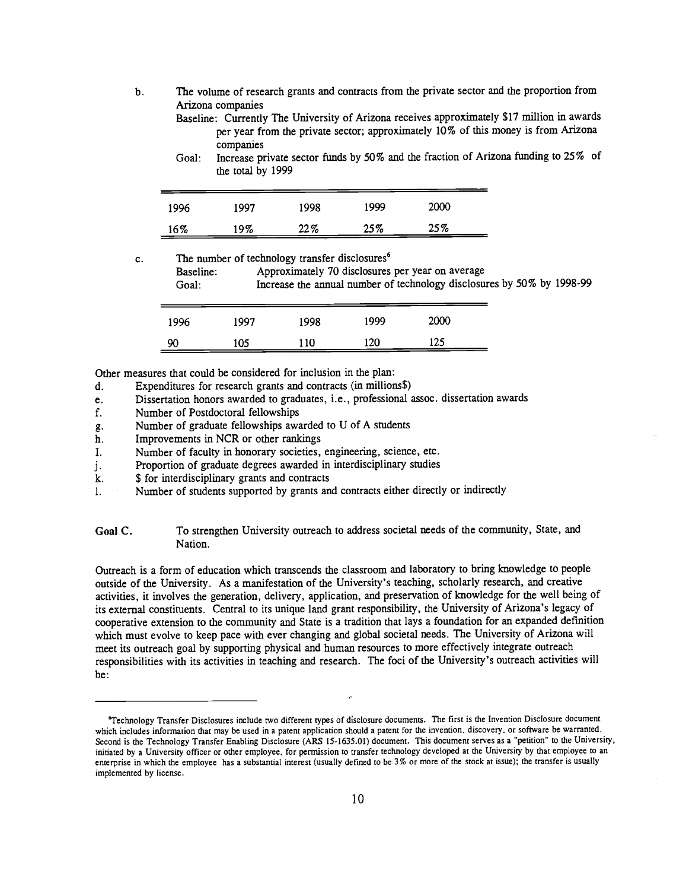The volume of research grants and contracts from the private sector and the proportion from  $\mathbf b$ . Arizona companies

Goal: Increase private sector funds by 50% and the fraction of Arizona funding to 25% of the total by 1999

| 1996 | 1997   | 1998 | 1999 | <b>2000</b> |
|------|--------|------|------|-------------|
| 16%  | $19\%$ | 22%  | 25%  | 25%         |

 $\mathbf{c}$ . The number of technology transfer disclosures<sup>6</sup>

| Baseline:<br>Goal: |      |      |      | Approximately 70 disclosures per year on average | Increase the annual number of technology disclosures by 50% by 1998-99 |  |
|--------------------|------|------|------|--------------------------------------------------|------------------------------------------------------------------------|--|
| 1996               | 1997 | 1998 | 1999 | 2000                                             |                                                                        |  |
| 90                 | 105  | 110  | 120  | 125                                              |                                                                        |  |

Other measures that could be considered for inclusion in the plan:

Expenditures for research grants and contracts (in millions\$) d.

- Dissertation honors awarded to graduates, i.e., professional assoc. dissertation awards e.
- f. Number of Postdoctoral fellowships
- Number of graduate fellowships awarded to U of A students g.
- Improvements in NCR or other rankings h.
- I. Number of faculty in honorary societies, engineering, science, etc.
- Proportion of graduate degrees awarded in interdisciplinary studies j.
- \$ for interdisciplinary grants and contracts k.
- 1. Number of students supported by grants and contracts either directly or indirectly

Goal C. To strengthen University outreach to address societal needs of the community, State, and Nation.

Outreach is a form of education which transcends the classroom and laboratory to bring knowledge to people outside of the University. As a manifestation of the University's teaching, scholarly research, and creative activities, it involves the generation, delivery, application, and preservation of knowledge for the well being of its external constituents. Central to its unique land grant responsibility, the University of Arizona's legacy of cooperative extension to the community and State is a tradition that lays a foundation for an expanded definition which must evolve to keep pace with ever changing and global societal needs. The University of Arizona will meet its outreach goal by supporting physical and human resources to more effectively integrate outreach responsibilities with its activities in teaching and research. The foci of the University's outreach activities will be:

Baseline: Currently The University of Arizona receives approximately \$17 million in awards per year from the private sector; approximately 10% of this money is from Arizona companies

<sup>&#</sup>x27;Technology Transfer Disclosures include two different types of disclosure documents. The first is the Invention Disclosure document which includes information that may be used in a patent application should a patent for the invention, discovery, or software be warranted. Second is the Technology Transfer Enabling Disclosure (ARS 15-1635.01) document. This document serves as a "petition' to the University, initiated by a University officer or other employee, for permission to transfer technology developed at the University by that employee to an enterprise in which the employee has a substantial interest (usually defmed to be 3% or more of the stock at issue); the transfer is usually implemented by license.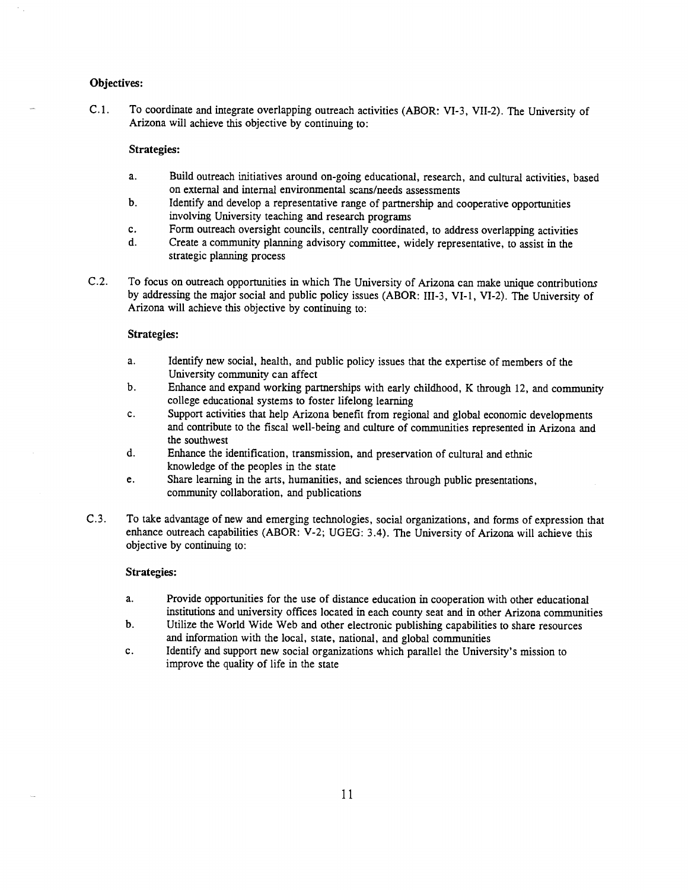#### Objectives:

C. 1. To coordinate and integrate overlapping outreach activities (ABOR: VI-3, VII-2). The University of Arizona will achieve this objective by continuing to:

### Strategies:

- Build outreach initiatives around on-going educational, research, and cultural activities, based a. on external and internal environmental scans/needs assessments
- b. Identify and develop a representative range of partnership and cooperative opportunities involving University teaching and research programs
- Form outreach oversight councils, centrally coordinated, to address overlapping activities c.
- $\mathbf{d}$ . Create a community planning advisory committee, widely representative, to assist in the strategic planning process
- C.2. To focus on outreach opportunities in which The University of Arizona can make unique contributions by addressing the major social and public policy issues (ABOR: III-3, VI-1, VI-2). The University of Arizona will achieve this objective by continuing to:

## Strategies:

- a. Identify new social, health, and public policy issues that the expertise of members of the University community can affect
- $<sub>b</sub>$ .</sub> Enhance and expand working partnerships with early childhood, K through 12, and community college educational systems to foster lifelong learning
- c. Support activities that help Arizona benefit from regional and global economic developments and contribute to the fiscal well-being and culture of communities represented in Arizona and the southwest
- $\mathbf{d}$ . Enhance the identification, transmission, and preservation of cultural and ethnic knowledge of the peoples in the state
- e. Share learning in the arts, humanities, and sciences through public presentations, community collaboration, and publications
- C. 3. To take advantage of new and emerging technologies, social organizations, and forms of expression that enhance outreach capabilities (ABOR: V-2; UGEG: 3.4). The University of Arizona will achieve this objective by continuing to:

#### Strategies:

- Provide opportunities for the use of distance education in cooperation with other educational a. institutions and university offices located in each county seat and in other Arizona communities
- $b<sub>1</sub>$ Utilize the World Wide Web and other electronic publishing capabilities to share resources and information with the local, state, national, and global communities
- Identify and support new social organizations which parallel the University's mission to  $c.$ improve the quality of life in the state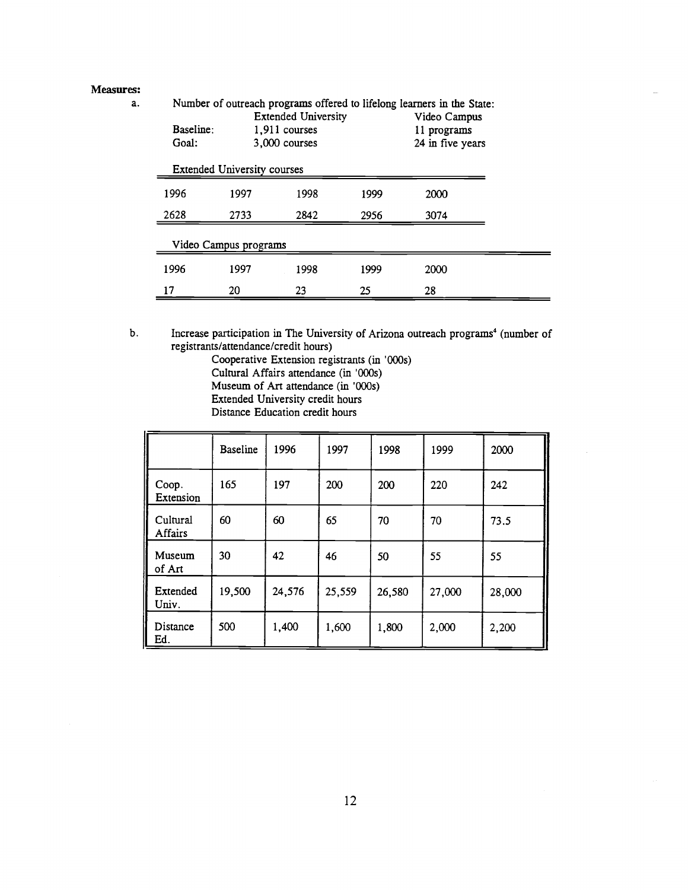#### Measures:

a.

|           |                                    |                            |      | Number of outreach programs offered to lifelong learners in the State: |
|-----------|------------------------------------|----------------------------|------|------------------------------------------------------------------------|
|           |                                    | <b>Extended University</b> |      | Video Campus                                                           |
| Baseline: |                                    | 1,911 courses              |      | 11 programs                                                            |
| Goal:     |                                    | 3,000 courses              |      | 24 in five years                                                       |
|           | <b>Extended University courses</b> |                            |      |                                                                        |
| 1996      | 1997                               | 1998                       | 1999 | 2000                                                                   |
| 2628      | 2733                               | 2842                       |      | 3074                                                                   |
|           | Video Campus programs              |                            |      |                                                                        |
| 1996      | 1997                               | 1998                       | 1999 | 2000                                                                   |
| 17        | 20                                 | 23                         | 25   | 28                                                                     |

Increase participation in The University of Arizona outreach programs<sup>4</sup> (number of b. registrants/attendance/credit hours)

Cooperative Extension registrants (in '000s) Cultural Affairs attendance (in '000s) Museum of Art attendance (in '000s) Extended University credit hours Distance Education credit hours

|                     | <b>Baseline</b> | 1996   | 1997   | 1998   | 1999   | 2000   |
|---------------------|-----------------|--------|--------|--------|--------|--------|
| Coop.<br>Extension  | 165             | 197    | 200    | 200    | 220    | 242    |
| Cultural<br>Affairs | 60              | 60     | 65     | 70     | 70     | 73.5   |
| Museum<br>of Art    | 30              | 42     | 46     | 50     | 55     | 55     |
| Extended<br>Univ.   | 19,500          | 24,576 | 25,559 | 26,580 | 27,000 | 28,000 |
| Distance<br>Ed.     | 500             | 1,400  | 1,600  | 1,800  | 2,000  | 2,200  |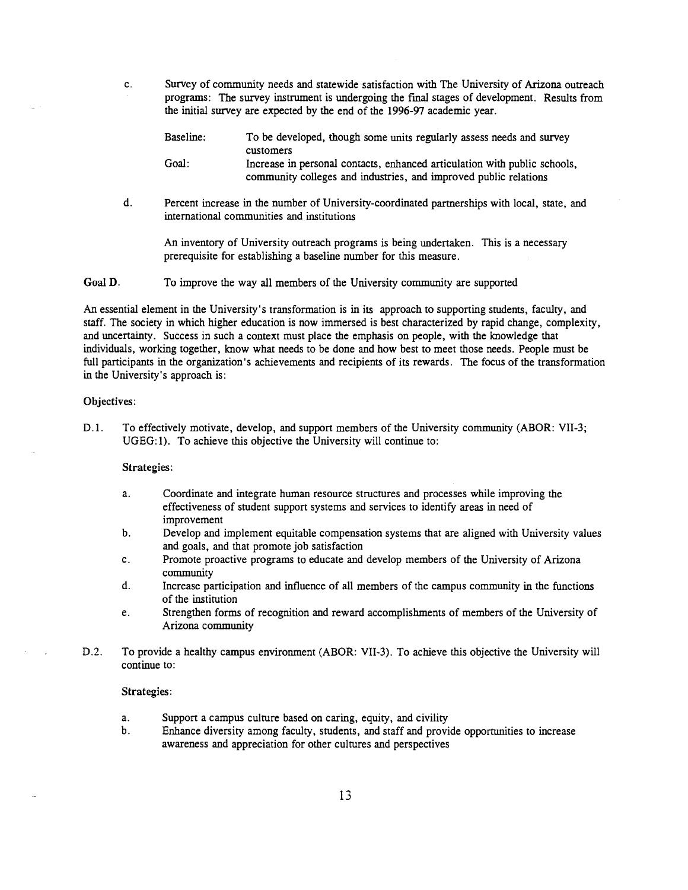$c_{\cdot}$ Survey of community needs and statewide satisfaction with The University of Arizona outreach programs: The survey instrument is undergoing the final stages of development. Results from the initiai survey are expected by the end of the 1996-97 academic year.

| Baseline: | To be developed, though some units regularly assess needs and survey      |
|-----------|---------------------------------------------------------------------------|
|           | customers                                                                 |
| Goal:     | Increase in personal contacts, enhanced articulation with public schools, |

community colleges and industries, and improved public relations

 $\mathbf{d}$ . Percent increase in the number of University-coordinated partnerships with local, state, and international communities and institutions

An inventory of University outreach programs is being undertaken. This is a necessary prerequisite for establishing a baseline number for this measure.

Goal D. To improve the way all members of the University community are supported

An essential element in the University's transformation is in its approach to supporting students, faculty, and staff. The society in which higher education is now immersed is best characterized by rapid change, complexity, and uncertainty. Success in such a context must place the emphasis on people, with the knowledge that individuals, working together, know what needs to be done and how best to meet those needs. People must be full participants in the organization's achievements and recipients of its rewards. The focus of the transformation in the University's approach is:

#### Objectives:

D.l. To effectively motivate, develop, and support members of the University community (ABOR: VII-3; UGEG:1). To achieve this objective the University will continue to:

#### Strategies:

- $a<sub>1</sub>$ Coordinate and integrate human resource structures and processes while improving the effectiveness of student support systems and services to identify areas in need of improvement
- $\mathbf b$ . Develop and implement equitable compensation systems that are aligned with University values and goals, and that promote job satisfaction
- Promote proactive programs to educate and develop members of the University of Arizona c. community
- d. Increase participation and influence of all members of the campus community in the functions of the institution
- e. Strengthen forms of recognition and reward accomplishments of members of the University of Arizona community
- D.2. To provide a healthy campus environment (ABOR: VII-3). To achieve this objective the University will continue to:

#### Strategies:

- a. Support a campus culture based on caring, equity, and civility
- b. Enhance diversity among faculty, students, and staff and provide opportunities to increase awareness and appreciation for other cultures and perspectives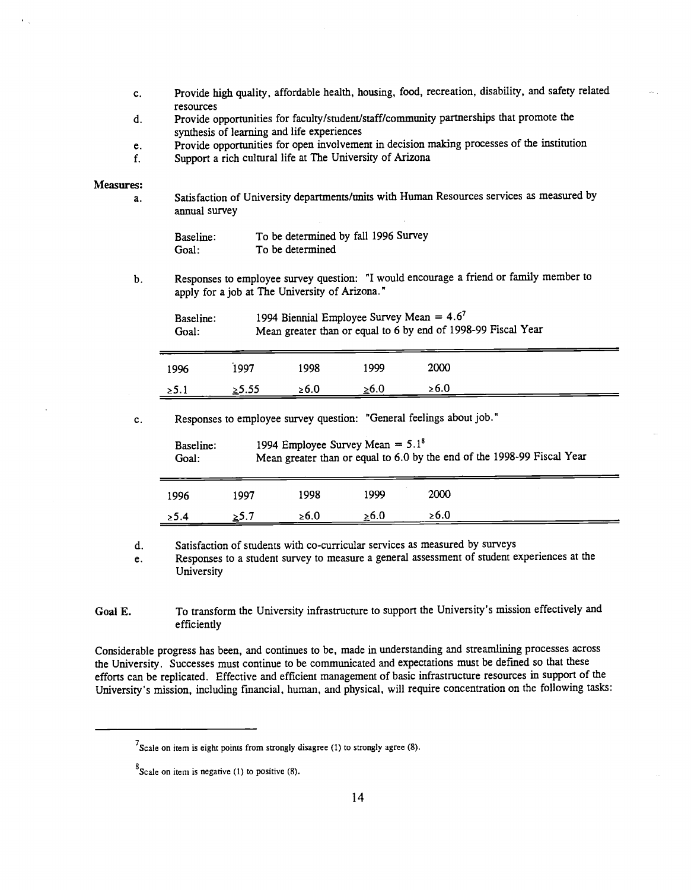- Provide high quality, affordable health, housing, food, recreation, disability, and safety related c. resources
- Provide opportunities for faculty/student/staff/community partnerships that promote the d. synthesis of learning and life experiences
- Provide opportunities for open involvement in decision making processes of the institution e.
- Support a rich cultural life at The University of Arizona  $f_{\perp}$

#### Measures:

Satisfaction of University departments/units with Human Resources services as measured by  $\overline{a}$ . annual survey

| Baseline: | To be determined by fall 1996 Survey |
|-----------|--------------------------------------|
| Goal:     | To be determined                     |

Responses to employee survey question: "I would encourage a friend or family member to  $\mathbf b$ . apply for a job at The University of Arizona."

| Baseline: | 1994 Biennial Employee Survey Mean $= 4.6^7$                  |
|-----------|---------------------------------------------------------------|
| Goal:     | Mean greater than or equal to 6 by end of 1998-99 Fiscal Year |

| 1996       | 1997  | 1998       | 1999 | 2000       |
|------------|-------|------------|------|------------|
| $\geq 5.1$ | ≥5.55 | $\geq 6.0$ | 0.6⊴ | $\geq 6.0$ |

Responses to employee survey question: "General feelings about job."  $\mathbf{c}$ .

| Baseline:<br>Goal: |      | 1994 Employee Survey Mean = $5.1^8$<br>Mean greater than or equal to 6.0 by the end of the 1998-99 Fiscal Year |            |      |  |
|--------------------|------|----------------------------------------------------------------------------------------------------------------|------------|------|--|
| 1996               | 1997 | 1998                                                                                                           | 1999       | 2000 |  |
| > 5.4              | >5.7 | ≥6.0                                                                                                           | $\geq 6.0$ | ≥6.0 |  |

Satisfaction of students with co-curricular services as measured by surveys d.

Responses to a student survey to measure a general assessment of student experiences at the e. University

Goal E. To transform the University infrastructure to support the University's mission effectively and efficiently

Considerable progress has been, and continues to be, made in understanding and streamlining processes across the University. Successes must continue to be communicated and expectations must be defmed so that these efforts can be replicated. Effective and efficient management of basic infrastructure resources in support of the University's mission, including fmancial, human, and physical, will require concentration on the following tasks:

 $<sup>7</sup>$ Scale on item is eight points from strongly disagree (1) to strongly agree (8).</sup>

 $8^8$ Scale on item is negative (1) to positive (8).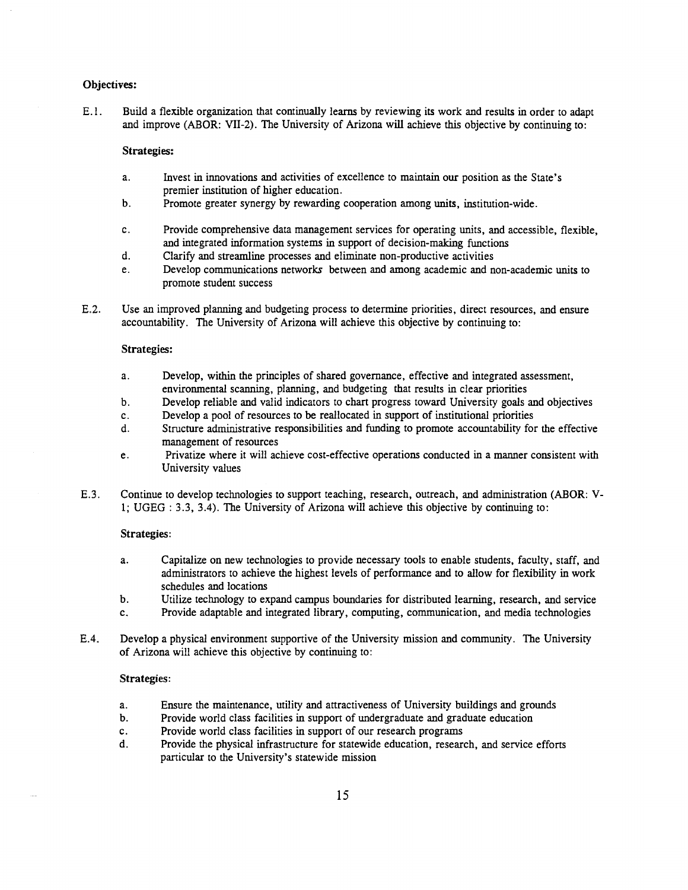#### Objectives:

E. 1. Build a flexible organization that continually learns by reviewing its work and results in order to adapt and improve (ABOR: VII-2). The University of Arizona wifi achieve this objective by continuing to:

### Strategies:

- Invest in innovations and activities of excellence to maintain our position as the State's a. premier institution of higher education.
- $\mathbf{b}$ . Promote greater synergy by rewarding cooperation among units, institution-wide.
- Provide comprehensive data management services for operating units, and accessible, flexible, c. and integrated information systems in support of decision-making functions
- Clarify and streamline processes and eliminate non-productive activities d.
- Develop communications networks between and among academic and non-academic units to e. promote student success
- E.2. Use an improved planning and budgeting process to determine priorities, direct resources, and ensure accountability. The University of Arizona will achieve this objective by continuing to:

#### Strategies:

- a. Develop, within the principles of shared governance, effective and integrated assessment, environmental scanning, planning, and budgeting that results in clear priorities
- $b.$ Develop reliable and valid indicators to chart progress toward University goals and objectives
- Develop a pool of resources to be reallocated in support of institutional priorities c.
- Structure administrative responsibilities and funding to promote accountability for the effective d. management of resources
- Privatize where it will achieve cost-effective operations conducted in a manner consistent with  $e.$ University values
- E.3. Continue to develop technologies to support teaching, research, outreach, and administration (ABOR: V-1; UGEG : 3.3, 3.4). The University of Arizona will achieve this objective by continuing to:

### Strategies:

- Capitalize on new technologies to provide necessary tools to enable students, faculty, staff, and a. administrators to achieve the highest levels of performance and to allow for flexibility in work schedules and locations
- $\mathbf b$ . Utilize technology to expand campus boundaries for distributed learning, research, and service
- $c_{\rm A}$ Provide adaptable and integrated library, computing, communication, and media technologies
- E.4. Develop a physical environment supportive of the University mission and community. The University of Arizona will achieve this objective by continuing to:

#### Strategies:

- a. Ensure the maintenance, utility and attractiveness of University buildings and grounds
- b. Provide world class facilities in support of undergraduate and graduate education
- Provide world class facilities in support of our research programs c.
- Provide the physical infrastructure for statewide education, research, and service efforts d. particular to the University's statewide mission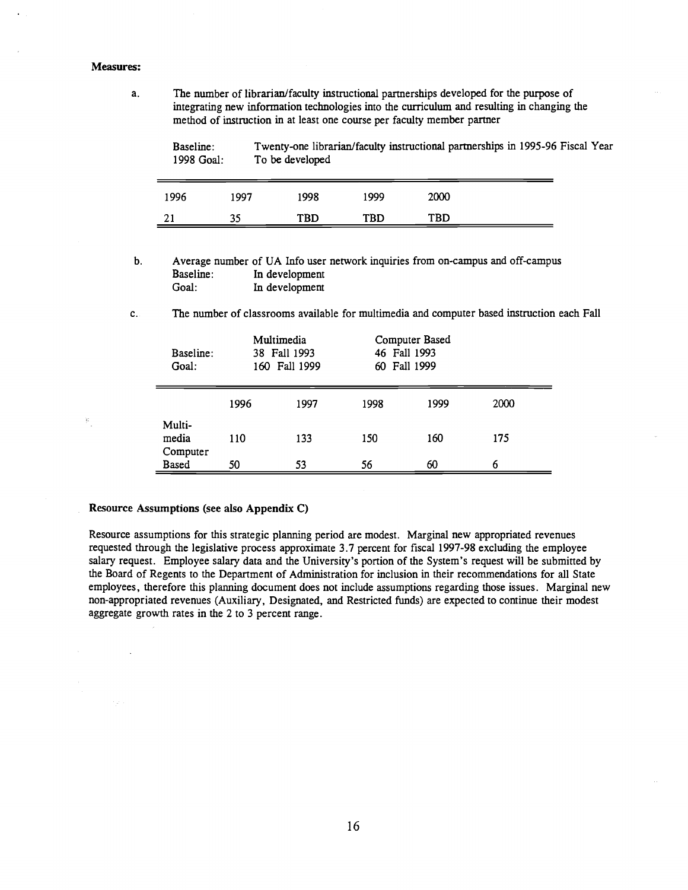#### Measures:

 $\widetilde{\mathbf{G}}$ 

a. The number of librarian/faculty instructional partnerships developed for the purpose of integrating new information technologies into the curriculum and resulting in changing the method of instruction in at least one course per faculty member partner

Baseline: Twenty-one librarian/faculty instructional partnerships in 1995-96 Fiscal Year 1998 Goal: To be developed

| 1996     | 1997 | 1998       | 1999       | 2000 |
|----------|------|------------|------------|------|
| ◠<br>, 1 | 35   | <b>TBD</b> | <b>TBD</b> | TBD  |

- b. Average number of UA Info user network inquiries from on-campus and off-campus Baseline: In development<br>Goal: In development In development
- $\mathbf{c}$ . The number of classrooms available for multimedia and computer based instruction each Fall

| Baseline:<br>Goal:          |      | Multimedia<br>38 Fall 1993<br>160 Fall 1999 |      | Computer Based<br>46 Fall 1993<br>60 Fall 1999 |      |
|-----------------------------|------|---------------------------------------------|------|------------------------------------------------|------|
|                             | 1996 | 1997                                        | 1998 | 1999                                           | 2000 |
| Multi-<br>media<br>Computer | 110  | 133                                         | 150  | 160                                            | 175  |
| <b>Based</b>                | 50   | 53                                          | 56   | 60                                             | 6    |

#### Resource Assumptions (see also Appendix C)

Resource assumptions for this strategic planning period are modest. Marginal new appropriated revenues requested through the legislative process approximate 3.7 percent for fiscal 1997-98 excluding the employee salary request. Employee salary data and the University's portion of the System's request will be submitted by the Board of Regents to the Department of Administration for inclusion in their recommendations for all State employees, therefore this planning document does not include assumptions regarding those issues. Marginal new non-appropriated revenues (Auxiliary, Designated, and Restricted funds) are expected to continue their modest aggregate growth rates in the 2 to 3 percent range.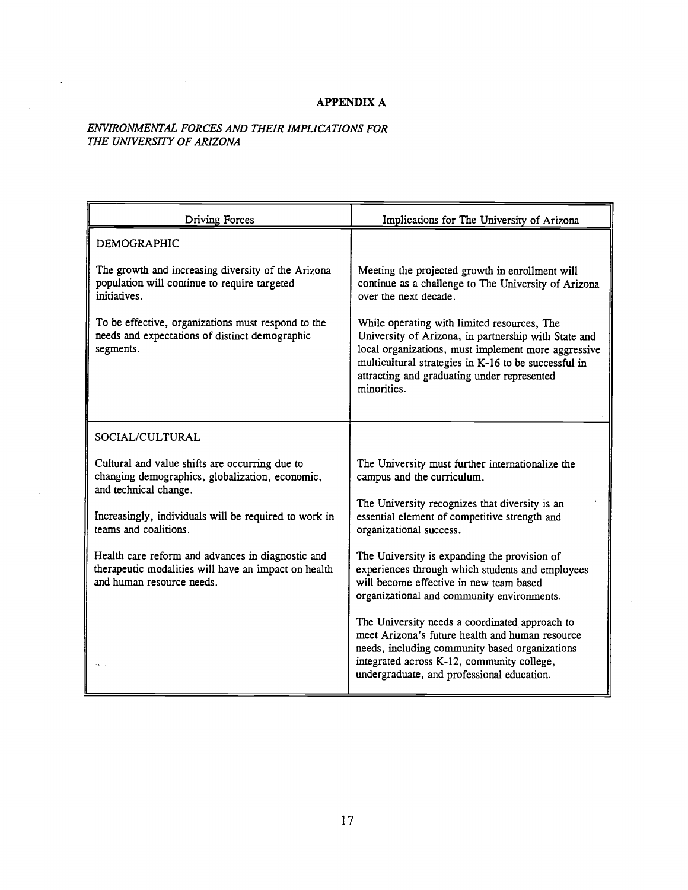## APPENDIX A

## ENVIRONMENTAL FORCES AND THEIR IMPLICATIONS FOR THE UNIVERSITY OF ARiZONA

 $\sim$   $\sim$ 

 $\label{eq:1} \frac{1}{\sqrt{2}}\int_{\mathbb{R}^2} \frac{1}{\sqrt{2}}\,d\mu$ 

| <b>Driving Forces</b>                                                                                                                  | Implications for The University of Arizona                                                                                                                                                                                                                                       |
|----------------------------------------------------------------------------------------------------------------------------------------|----------------------------------------------------------------------------------------------------------------------------------------------------------------------------------------------------------------------------------------------------------------------------------|
| <b>DEMOGRAPHIC</b>                                                                                                                     |                                                                                                                                                                                                                                                                                  |
| The growth and increasing diversity of the Arizona<br>population will continue to require targeted<br>initiatives.                     | Meeting the projected growth in enrollment will<br>continue as a challenge to The University of Arizona<br>over the next decade.                                                                                                                                                 |
| To be effective, organizations must respond to the<br>needs and expectations of distinct demographic<br>segments.                      | While operating with limited resources, The<br>University of Arizona, in partnership with State and<br>local organizations, must implement more aggressive<br>multicultural strategies in K-16 to be successful in<br>attracting and graduating under represented<br>minorities. |
| SOCIAL/CULTURAL                                                                                                                        |                                                                                                                                                                                                                                                                                  |
| Cultural and value shifts are occurring due to<br>changing demographics, globalization, economic,<br>and technical change.             | The University must further internationalize the<br>campus and the curriculum.                                                                                                                                                                                                   |
| Increasingly, individuals will be required to work in<br>teams and coalitions.                                                         | The University recognizes that diversity is an<br>essential element of competitive strength and<br>organizational success.                                                                                                                                                       |
| Health care reform and advances in diagnostic and<br>therapeutic modalities will have an impact on health<br>and human resource needs. | The University is expanding the provision of<br>experiences through which students and employees<br>will become effective in new team based<br>organizational and community environments.                                                                                        |
| $\sim$                                                                                                                                 | The University needs a coordinated approach to<br>meet Arizona's future health and human resource<br>needs, including community based organizations<br>integrated across K-12, community college,<br>undergraduate, and professional education.                                  |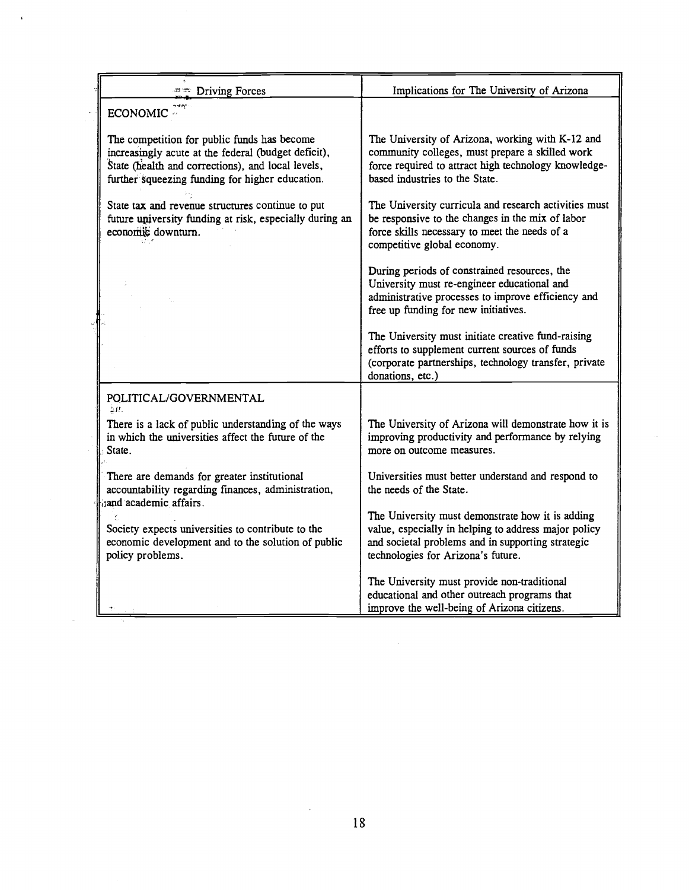| $=$ Driving Forces                                                                                                                                                                                         | Implications for The University of Arizona                                                                                                                                                          |  |  |
|------------------------------------------------------------------------------------------------------------------------------------------------------------------------------------------------------------|-----------------------------------------------------------------------------------------------------------------------------------------------------------------------------------------------------|--|--|
| ECONOMIC <sup>2</sup>                                                                                                                                                                                      |                                                                                                                                                                                                     |  |  |
| The competition for public funds has become<br>increasingly acute at the federal (budget deficit),<br>State (health and corrections), and local levels,<br>further squeezing funding for higher education. | The University of Arizona, working with K-12 and<br>community colleges, must prepare a skilled work<br>force required to attract high technology knowledge-<br>based industries to the State.       |  |  |
| State tax and revenue structures continue to put<br>future university funding at risk, especially during an<br>economic downturn.                                                                          | The University curricula and research activities must<br>be responsive to the changes in the mix of labor<br>force skills necessary to meet the needs of a<br>competitive global economy.           |  |  |
|                                                                                                                                                                                                            | During periods of constrained resources, the<br>University must re-engineer educational and<br>administrative processes to improve efficiency and<br>free up funding for new initiatives.           |  |  |
|                                                                                                                                                                                                            | The University must initiate creative fund-raising<br>efforts to supplement current sources of funds<br>(corporate partnerships, technology transfer, private<br>donations, etc.)                   |  |  |
| POLITICAL/GOVERNMENTAL<br>ΔĦ.                                                                                                                                                                              |                                                                                                                                                                                                     |  |  |
| There is a lack of public understanding of the ways<br>in which the universities affect the future of the<br>State.                                                                                        | The University of Arizona will demonstrate how it is<br>improving productivity and performance by relying<br>more on outcome measures.                                                              |  |  |
| There are demands for greater institutional<br>accountability regarding finances, administration,<br>and academic affairs.                                                                                 | Universities must better understand and respond to<br>the needs of the State.                                                                                                                       |  |  |
| Society expects universities to contribute to the<br>economic development and to the solution of public<br>policy problems.                                                                                | The University must demonstrate how it is adding<br>value, especially in helping to address major policy<br>and societal problems and in supporting strategic<br>technologies for Arizona's future. |  |  |
|                                                                                                                                                                                                            | The University must provide non-traditional<br>educational and other outreach programs that<br>improve the well-being of Arizona citizens.                                                          |  |  |

 $\bar{\beta}$ 

 $\sim 10^{-10}$ 

 $\mathcal{L}^{\text{max}}_{\text{max}}$